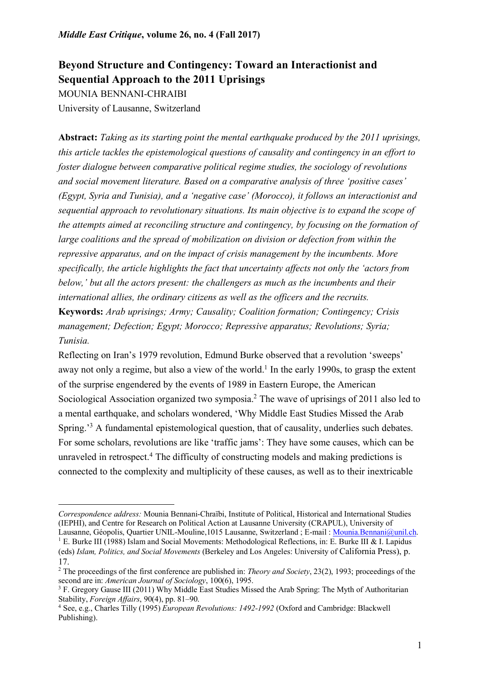# **Beyond Structure and Contingency: Toward an Interactionist and Sequential Approach to the 2011 Uprisings**

MOUNIA BENNANI-CHRAIBI

University of Lausanne, Switzerland

**Abstract:** *Taking as its starting point the mental earthquake produced by the 2011 uprisings, this article tackles the epistemological questions of causality and contingency in an effort to foster dialogue between comparative political regime studies, the sociology of revolutions and social movement literature. Based on a comparative analysis of three 'positive cases' (Egypt, Syria and Tunisia), and a 'negative case' (Morocco), it follows an interactionist and sequential approach to revolutionary situations. Its main objective is to expand the scope of the attempts aimed at reconciling structure and contingency, by focusing on the formation of large coalitions and the spread of mobilization on division or defection from within the repressive apparatus, and on the impact of crisis management by the incumbents. More specifically, the article highlights the fact that uncertainty affects not only the 'actors from below,' but all the actors present: the challengers as much as the incumbents and their international allies, the ordinary citizens as well as the officers and the recruits.* **Keywords:** *Arab uprisings; Army; Causality; Coalition formation; Contingency; Crisis management; Defection; Egypt; Morocco; Repressive apparatus; Revolutions; Syria; Tunisia.*

Reflecting on Iran's 1979 revolution, Edmund Burke observed that a revolution 'sweeps' away not only a regime, but also a view of the world.<sup>1</sup> In the early 1990s, to grasp the extent of the surprise engendered by the events of 1989 in Eastern Europe, the American Sociological Association organized two symposia.2 The wave of uprisings of 2011 also led to a mental earthquake, and scholars wondered, 'Why Middle East Studies Missed the Arab Spring.<sup>3</sup> A fundamental epistemological question, that of causality, underlies such debates. For some scholars, revolutions are like 'traffic jams': They have some causes, which can be unraveled in retrospect.<sup>4</sup> The difficulty of constructing models and making predictions is connected to the complexity and multiplicity of these causes, as well as to their inextricable

 $\overline{a}$ *Correspondence address:* Mounia Bennani-Chraïbi, Institute of Political, Historical and International Studies (IEPHI), and Centre for Research on Political Action at Lausanne University (CRAPUL), University of Lausanne, Géopolis, Quartier UNIL-Mouline,1015 Lausanne, Switzerland ; E-mail : Mounia.Bennani@unil.ch.

<sup>&</sup>lt;sup>1</sup> E. Burke III (1988) Islam and Social Movements: Methodological Reflections, in: E. Burke III & I. Lapidus (eds) *Islam, Politics, and Social Movements* (Berkeley and Los Angeles: University of California Press), p. 17.

<sup>2</sup> The proceedings of the first conference are published in: *Theory and Society*, 23(2), 1993; proceedings of the second are in: *American Journal of Sociology*, 100(6), 1995.

<sup>&</sup>lt;sup>3</sup> F. Gregory Gause III (2011) Why Middle East Studies Missed the Arab Spring: The Myth of Authoritarian Stability, *Foreign Affairs*, 90(4), pp. 81–90.

<sup>4</sup> See, e.g., Charles Tilly (1995) *European Revolutions: 1492-1992* (Oxford and Cambridge: Blackwell Publishing).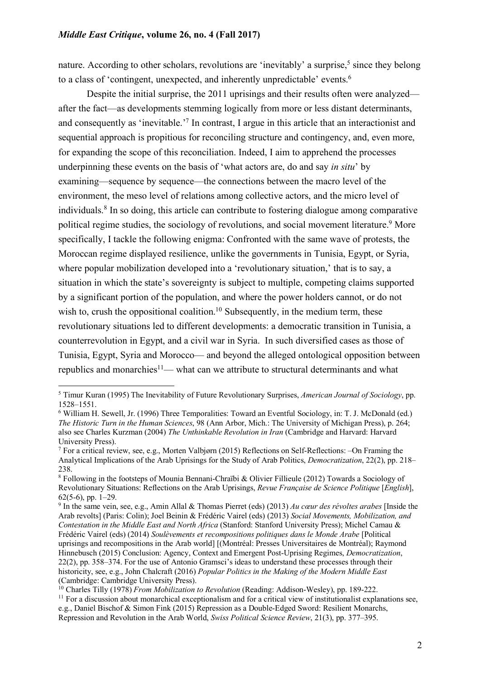nature. According to other scholars, revolutions are 'inevitably' a surprise,<sup>5</sup> since they belong to a class of 'contingent, unexpected, and inherently unpredictable' events.6

Despite the initial surprise, the 2011 uprisings and their results often were analyzed after the fact—as developments stemming logically from more or less distant determinants, and consequently as 'inevitable.'7 In contrast, I argue in this article that an interactionist and sequential approach is propitious for reconciling structure and contingency, and, even more, for expanding the scope of this reconciliation. Indeed, I aim to apprehend the processes underpinning these events on the basis of 'what actors are, do and say *in situ*' by examining—sequence by sequence—the connections between the macro level of the environment, the meso level of relations among collective actors, and the micro level of individuals.8 In so doing, this article can contribute to fostering dialogue among comparative political regime studies, the sociology of revolutions, and social movement literature.<sup>9</sup> More specifically, I tackle the following enigma: Confronted with the same wave of protests, the Moroccan regime displayed resilience, unlike the governments in Tunisia, Egypt, or Syria, where popular mobilization developed into a 'revolutionary situation,' that is to say, a situation in which the state's sovereignty is subject to multiple, competing claims supported by a significant portion of the population, and where the power holders cannot, or do not wish to, crush the oppositional coalition.<sup>10</sup> Subsequently, in the medium term, these revolutionary situations led to different developments: a democratic transition in Tunisia, a counterrevolution in Egypt, and a civil war in Syria. In such diversified cases as those of Tunisia, Egypt, Syria and Morocco— and beyond the alleged ontological opposition between republics and monarchies<sup>11</sup>— what can we attribute to structural determinants and what

 <sup>5</sup> Timur Kuran (1995) The Inevitability of Future Revolutionary Surprises, *American Journal of Sociology*, pp. 1528–1551.

<sup>6</sup> William H. Sewell, Jr. (1996) Three Temporalities: Toward an Eventful Sociology, in: T. J. McDonald (ed.) *The Historic Turn in the Human Sciences*, 98 (Ann Arbor, Mich.: The University of Michigan Press), p. 264; also see Charles Kurzman (2004) *The Unthinkable Revolution in Iran* (Cambridge and Harvard: Harvard University Press).

<sup>&</sup>lt;sup>7</sup> For a critical review, see, e.g., Morten Valbjørn (2015) Reflections on Self-Reflections:  $-$ On Framing the Analytical Implications of the Arab Uprisings for the Study of Arab Politics, *Democratization*, 22(2), pp. 218– 238.

<sup>8</sup> Following in the footsteps of Mounia Bennani-Chraïbi & Olivier Fillieule (2012) Towards a Sociology of Revolutionary Situations: Reflections on the Arab Uprisings, *Revue Française de Science Politique* [*English*], 62(5-6), pp. 1–29.

<sup>9</sup> In the same vein, see, e.g., Amin Allal & Thomas Pierret (eds) (2013) *Au cœur des révoltes arabes* [Inside the Arab revolts] (Paris: Colin); Joel Beinin & Frédéric Vairel (eds) (2013) *Social Movements, Mobilization, and Contestation in the Middle East and North Africa* (Stanford: Stanford University Press); Michel Camau & Frédéric Vairel (eds) (2014) *Soulèvements et recompositions politiques dans le Monde Arabe* [Political uprisings and recompositions in the Arab world] [(Montréal: Presses Universitaires de Montréal); Raymond Hinnebusch (2015) Conclusion: Agency, Context and Emergent Post-Uprising Regimes, *Democratization*, 22(2), pp. 358–374. For the use of Antonio Gramsci's ideas to understand these processes through their historicity, see, e.g., John Chalcraft (2016) *Popular Politics in the Making of the Modern Middle East* (Cambridge: Cambridge University Press).

<sup>10</sup> Charles Tilly (1978) *From Mobilization to Revolution* (Reading: Addison-Wesley), pp. 189-222.

 $11$  For a discussion about monarchical exceptionalism and for a critical view of institutionalist explanations see, e.g., Daniel Bischof & Simon Fink (2015) Repression as a Double-Edged Sword: Resilient Monarchs, Repression and Revolution in the Arab World, *Swiss Political Science Review*, 21(3), pp. 377–395.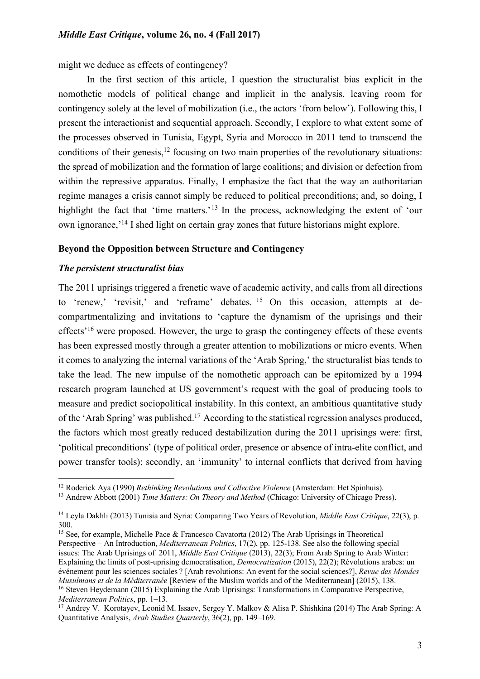might we deduce as effects of contingency?

In the first section of this article, I question the structuralist bias explicit in the nomothetic models of political change and implicit in the analysis, leaving room for contingency solely at the level of mobilization (i.e., the actors 'from below'). Following this, I present the interactionist and sequential approach. Secondly, I explore to what extent some of the processes observed in Tunisia, Egypt, Syria and Morocco in 2011 tend to transcend the conditions of their genesis,  $^{12}$  focusing on two main properties of the revolutionary situations: the spread of mobilization and the formation of large coalitions; and division or defection from within the repressive apparatus. Finally, I emphasize the fact that the way an authoritarian regime manages a crisis cannot simply be reduced to political preconditions; and, so doing, I highlight the fact that 'time matters.'<sup>13</sup> In the process, acknowledging the extent of 'our own ignorance,'14 I shed light on certain gray zones that future historians might explore.

#### **Beyond the Opposition between Structure and Contingency**

#### *The persistent structuralist bias*

The 2011 uprisings triggered a frenetic wave of academic activity, and calls from all directions to 'renew,' 'revisit,' and 'reframe' debates. <sup>15</sup> On this occasion, attempts at decompartmentalizing and invitations to 'capture the dynamism of the uprisings and their effects'16 were proposed. However, the urge to grasp the contingency effects of these events has been expressed mostly through a greater attention to mobilizations or micro events. When it comes to analyzing the internal variations of the 'Arab Spring,' the structuralist bias tends to take the lead. The new impulse of the nomothetic approach can be epitomized by a 1994 research program launched at US government's request with the goal of producing tools to measure and predict sociopolitical instability. In this context, an ambitious quantitative study of the 'Arab Spring' was published.17 According to the statistical regression analyses produced, the factors which most greatly reduced destabilization during the 2011 uprisings were: first, 'political preconditions' (type of political order, presence or absence of intra-elite conflict, and power transfer tools); secondly, an 'immunity' to internal conflicts that derived from having

 <sup>12</sup> Roderick Aya (1990) *Rethinking Revolutions and Collective Violence* (Amsterdam: Het Spinhuis).

<sup>13</sup> Andrew Abbott (2001) *Time Matters: On Theory and Method* (Chicago: University of Chicago Press).

<sup>14</sup> Leyla Dakhli (2013) Tunisia and Syria: Comparing Two Years of Revolution, *Middle East Critique*, 22(3), p. 300.

<sup>&</sup>lt;sup>15</sup> See, for example, Michelle Pace & Francesco Cavatorta (2012) The Arab Uprisings in Theoretical Perspective – An Introduction, *Mediterranean Politics*, 17(2), pp. 125-138. See also the following special issues: The Arab Uprisings of 2011, *Middle East Critique* (2013), 22(3); From Arab Spring to Arab Winter: Explaining the limits of post-uprising democratisation, *Democratization* (2015), 22(2); Révolutions arabes: un événement pour les sciences sociales ? [Arab revolutions: An event for the social sciences?], *Revue des Mondes Musulmans et de la Méditerranée* [Review of the Muslim worlds and of the Mediterranean] (2015), 138. <sup>16</sup> Steven Heydemann (2015) Explaining the Arab Uprisings: Transformations in Comparative Perspective, *Mediterranean Politics*, pp. 1–13.<br><sup>17</sup> Andrey V. Korotayev, Leonid M. Issaev, Sergey Y. Malkov & Alisa P. Shishkina (2014) The Arab Spring: A

Quantitative Analysis, *Arab Studies Quarterly*, 36(2), pp. 149–169.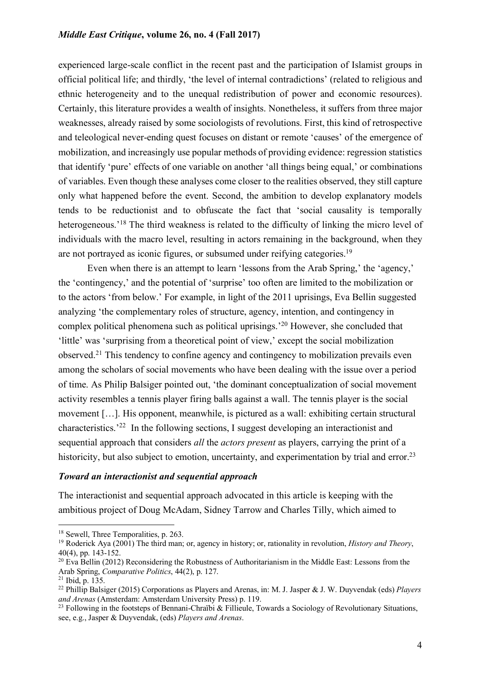experienced large-scale conflict in the recent past and the participation of Islamist groups in official political life; and thirdly, 'the level of internal contradictions' (related to religious and ethnic heterogeneity and to the unequal redistribution of power and economic resources). Certainly, this literature provides a wealth of insights. Nonetheless, it suffers from three major weaknesses, already raised by some sociologists of revolutions. First, this kind of retrospective and teleological never-ending quest focuses on distant or remote 'causes' of the emergence of mobilization, and increasingly use popular methods of providing evidence: regression statistics that identify 'pure' effects of one variable on another 'all things being equal,' or combinations of variables. Even though these analyses come closer to the realities observed, they still capture only what happened before the event. Second, the ambition to develop explanatory models tends to be reductionist and to obfuscate the fact that 'social causality is temporally heterogeneous.<sup>'18</sup> The third weakness is related to the difficulty of linking the micro level of individuals with the macro level, resulting in actors remaining in the background, when they are not portrayed as iconic figures, or subsumed under reifying categories.<sup>19</sup>

Even when there is an attempt to learn 'lessons from the Arab Spring,' the 'agency,' the 'contingency,' and the potential of 'surprise' too often are limited to the mobilization or to the actors 'from below.' For example, in light of the 2011 uprisings, Eva Bellin suggested analyzing 'the complementary roles of structure, agency, intention, and contingency in complex political phenomena such as political uprisings.' <sup>20</sup> However, she concluded that 'little' was 'surprising from a theoretical point of view,' except the social mobilization observed.21 This tendency to confine agency and contingency to mobilization prevails even among the scholars of social movements who have been dealing with the issue over a period of time. As Philip Balsiger pointed out, 'the dominant conceptualization of social movement activity resembles a tennis player firing balls against a wall. The tennis player is the social movement […]. His opponent, meanwhile, is pictured as a wall: exhibiting certain structural characteristics.'22 In the following sections, I suggest developing an interactionist and sequential approach that considers *all* the *actors present* as players, carrying the print of a historicity, but also subject to emotion, uncertainty, and experimentation by trial and error.<sup>23</sup>

### *Toward an interactionist and sequential approach*

The interactionist and sequential approach advocated in this article is keeping with the ambitious project of Doug McAdam, Sidney Tarrow and Charles Tilly, which aimed to

<sup>&</sup>lt;sup>18</sup> Sewell, Three Temporalities, p. 263.

<sup>19</sup> Roderick Aya (2001) The third man; or, agency in history; or, rationality in revolution, *History and Theory*, 40(4), pp. 143-152.

<sup>&</sup>lt;sup>20</sup> Eva Bellin (2012) Reconsidering the Robustness of Authoritarianism in the Middle East: Lessons from the Arab Spring, *Comparative Politics*, 44(2), p. 127.

 $21$  Ibid, p. 135.

<sup>22</sup> Phillip Balsiger (2015) Corporations as Players and Arenas, in: M. J. Jasper & J. W. Duyvendak (eds) *Players and Arenas* (Amsterdam: Amsterdam University Press) p. 119.

<sup>&</sup>lt;sup>23</sup> Following in the footsteps of Bennani-Chraïbi & Fillieule, Towards a Sociology of Revolutionary Situations, see, e.g., Jasper & Duyvendak, (eds) *Players and Arenas*.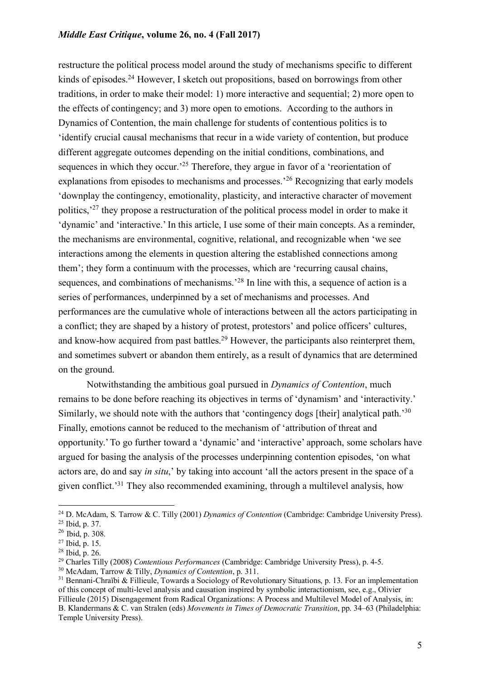restructure the political process model around the study of mechanisms specific to different kinds of episodes.<sup>24</sup> However, I sketch out propositions, based on borrowings from other traditions, in order to make their model: 1) more interactive and sequential; 2) more open to the effects of contingency; and 3) more open to emotions. According to the authors in Dynamics of Contention, the main challenge for students of contentious politics is to 'identify crucial causal mechanisms that recur in a wide variety of contention, but produce different aggregate outcomes depending on the initial conditions, combinations, and sequences in which they occur.<sup>25</sup> Therefore, they argue in favor of a 'reorientation of explanations from episodes to mechanisms and processes.<sup>26</sup> Recognizing that early models 'downplay the contingency, emotionality, plasticity, and interactive character of movement politics,'27 they propose a restructuration of the political process model in order to make it 'dynamic' and 'interactive.' In this article, I use some of their main concepts. As a reminder, the mechanisms are environmental, cognitive, relational, and recognizable when 'we see interactions among the elements in question altering the established connections among them'; they form a continuum with the processes, which are 'recurring causal chains, sequences, and combinations of mechanisms.<sup>28</sup> In line with this, a sequence of action is a series of performances, underpinned by a set of mechanisms and processes. And performances are the cumulative whole of interactions between all the actors participating in a conflict; they are shaped by a history of protest, protestors' and police officers' cultures, and know-how acquired from past battles.<sup>29</sup> However, the participants also reinterpret them, and sometimes subvert or abandon them entirely, as a result of dynamics that are determined on the ground.

Notwithstanding the ambitious goal pursued in *Dynamics of Contention*, much remains to be done before reaching its objectives in terms of 'dynamism' and 'interactivity.' Similarly, we should note with the authors that 'contingency dogs [their] analytical path.<sup>30</sup> Finally, emotions cannot be reduced to the mechanism of 'attribution of threat and opportunity.' To go further toward a 'dynamic' and 'interactive' approach, some scholars have argued for basing the analysis of the processes underpinning contention episodes, 'on what actors are, do and say *in situ*,' by taking into account 'all the actors present in the space of a given conflict.'31 They also recommended examining, through a multilevel analysis, how

B. Klandermans & C. van Stralen (eds) *Movements in Times of Democratic Transition*, pp. 34–63 (Philadelphia: Temple University Press).

 <sup>24</sup> D. McAdam, S. Tarrow & C. Tilly (2001) *Dynamics of Contention* (Cambridge: Cambridge University Press). <sup>25</sup> Ibid, p. 37.

 $26$  Ibid, p. 308.

<sup>27</sup> Ibid, p. 15.

 $28$  Ibid, p. 26.

<sup>29</sup> Charles Tilly (2008) *Contentious Performances* (Cambridge: Cambridge University Press), p. 4-5. 30 McAdam, Tarrow & Tilly, *Dynamics of Contention*, p. 311.

<sup>&</sup>lt;sup>31</sup> Bennani-Chraïbi & Fillieule, Towards a Sociology of Revolutionary Situations, p. 13. For an implementation of this concept of multi-level analysis and causation inspired by symbolic interactionism, see, e.g., Olivier Fillieule (2015) Disengagement from Radical Organizations: A Process and Multilevel Model of Analysis, in: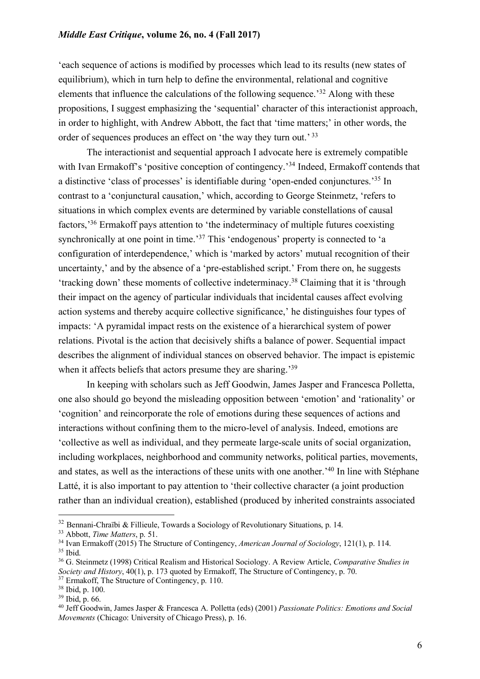'each sequence of actions is modified by processes which lead to its results (new states of equilibrium), which in turn help to define the environmental, relational and cognitive elements that influence the calculations of the following sequence.'32 Along with these propositions, I suggest emphasizing the 'sequential' character of this interactionist approach, in order to highlight, with Andrew Abbott, the fact that 'time matters;' in other words, the order of sequences produces an effect on 'the way they turn out.' <sup>33</sup>

The interactionist and sequential approach I advocate here is extremely compatible with Ivan Ermakoff's 'positive conception of contingency.<sup>34</sup> Indeed, Ermakoff contends that a distinctive 'class of processes' is identifiable during 'open-ended conjunctures.'35 In contrast to a 'conjunctural causation,' which, according to George Steinmetz, 'refers to situations in which complex events are determined by variable constellations of causal factors,'36 Ermakoff pays attention to 'the indeterminacy of multiple futures coexisting synchronically at one point in time.<sup>37</sup> This 'endogenous' property is connected to 'a configuration of interdependence,' which is 'marked by actors' mutual recognition of their uncertainty,' and by the absence of a 'pre-established script.' From there on, he suggests 'tracking down' these moments of collective indeterminacy.38 Claiming that it is 'through their impact on the agency of particular individuals that incidental causes affect evolving action systems and thereby acquire collective significance,' he distinguishes four types of impacts: 'A pyramidal impact rests on the existence of a hierarchical system of power relations. Pivotal is the action that decisively shifts a balance of power. Sequential impact describes the alignment of individual stances on observed behavior. The impact is epistemic when it affects beliefs that actors presume they are sharing.<sup>39</sup>

In keeping with scholars such as Jeff Goodwin, James Jasper and Francesca Polletta, one also should go beyond the misleading opposition between 'emotion' and 'rationality' or 'cognition' and reincorporate the role of emotions during these sequences of actions and interactions without confining them to the micro-level of analysis. Indeed, emotions are 'collective as well as individual, and they permeate large-scale units of social organization, including workplaces, neighborhood and community networks, political parties, movements, and states, as well as the interactions of these units with one another.'40 In line with Stéphane Latté, it is also important to pay attention to 'their collective character (a joint production rather than an individual creation), established (produced by inherited constraints associated

 $32$  Bennani-Chraïbi & Fillieule, Towards a Sociology of Revolutionary Situations, p. 14.

<sup>33</sup> Abbott, *Time Matters*, p. 51.

<sup>34</sup> Ivan Ermakoff (2015) The Structure of Contingency, *American Journal of Sociology*, 121(1), p. 114.  $35$  Ibid.

<sup>36</sup> G. Steinmetz (1998) Critical Realism and Historical Sociology. A Review Article, *Comparative Studies in Society and History*, 40(1), p. 173 quoted by Ermakoff, The Structure of Contingency, p. 70.

<sup>&</sup>lt;sup>37</sup> Ermakoff, The Structure of Contingency, p. 110.

<sup>38</sup> Ibid, p. 100.

<sup>39</sup> Ibid, p. 66.

<sup>40</sup> Jeff Goodwin, James Jasper & Francesca A. Polletta (eds) (2001) *Passionate Politics: Emotions and Social Movements* (Chicago: University of Chicago Press), p. 16.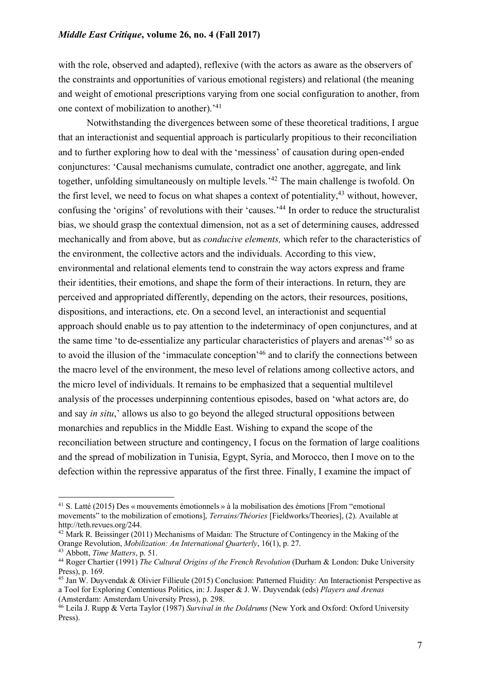with the role, observed and adapted), reflexive (with the actors as aware as the observers of the constraints and opportunities of various emotional registers) and relational (the meaning and weight of emotional prescriptions varying from one social configuration to another, from one context of mobilization to another).'41

Notwithstanding the divergences between some of these theoretical traditions, I argue that an interactionist and sequential approach is particularly propitious to their reconciliation and to further exploring how to deal with the 'messiness' of causation during open-ended conjunctures: 'Causal mechanisms cumulate, contradict one another, aggregate, and link together, unfolding simultaneously on multiple levels.'42 The main challenge is twofold. On the first level, we need to focus on what shapes a context of potentiality, $43$  without, however, confusing the 'origins' of revolutions with their 'causes.'44 In order to reduce the structuralist bias, we should grasp the contextual dimension, not as a set of determining causes, addressed mechanically and from above, but as *conducive elements,* which refer to the characteristics of the environment, the collective actors and the individuals. According to this view, environmental and relational elements tend to constrain the way actors express and frame their identities, their emotions, and shape the form of their interactions. In return, they are perceived and appropriated differently, depending on the actors, their resources, positions, dispositions, and interactions, etc. On a second level, an interactionist and sequential approach should enable us to pay attention to the indeterminacy of open conjunctures, and at the same time 'to de-essentialize any particular characteristics of players and arenas'45 so as to avoid the illusion of the 'immaculate conception'46 and to clarify the connections between the macro level of the environment, the meso level of relations among collective actors, and the micro level of individuals. It remains to be emphasized that a sequential multilevel analysis of the processes underpinning contentious episodes, based on 'what actors are, do and say *in situ*,' allows us also to go beyond the alleged structural oppositions between monarchies and republics in the Middle East. Wishing to expand the scope of the reconciliation between structure and contingency, I focus on the formation of large coalitions and the spread of mobilization in Tunisia, Egypt, Syria, and Morocco, then I move on to the defection within the repressive apparatus of the first three. Finally, I examine the impact of

 <sup>41</sup> S. Latté (2015) Des « mouvements émotionnels » à la mobilisation des émotions [From "emotional movements" to the mobilization of emotions], *Terrains/Théories* [Fieldworks/Theories], (2). Available at http://teth.revues.org/244.

 $42$  Mark R. Beissinger (2011) Mechanisms of Maidan: The Structure of Contingency in the Making of the Orange Revolution, *Mobilization: An International Quarterly*, 16(1), p. 27.

<sup>43</sup> Abbott, *Time Matters*, p. 51.

<sup>44</sup> Roger Chartier (1991) *The Cultural Origins of the French Revolution* (Durham & London: Duke University Press)  $p. 169$ .

<sup>45</sup> Jan W. Duyvendak & Olivier Fillieule (2015) Conclusion: Patterned Fluidity: An Interactionist Perspective as a Tool for Exploring Contentious Politics, in: J. Jasper & J. W. Duyvendak (eds) *Players and Arenas* (Amsterdam: Amsterdam University Press), p. 298.

<sup>46</sup> Leila J. Rupp & Verta Taylor (1987) *Survival in the Doldrums* (New York and Oxford: Oxford University Press).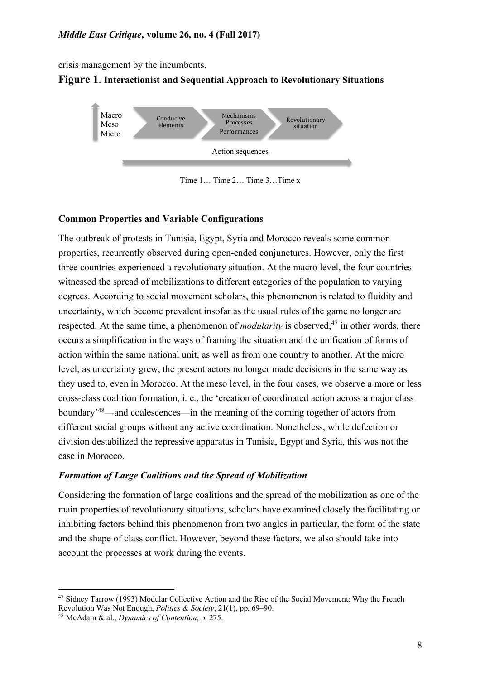crisis management by the incumbents.

# **Figure 1**. **Interactionist and Sequential Approach to Revolutionary Situations**



Time 1… Time 2… Time 3…Time x

# **Common Properties and Variable Configurations**

The outbreak of protests in Tunisia, Egypt, Syria and Morocco reveals some common properties, recurrently observed during open-ended conjunctures. However, only the first three countries experienced a revolutionary situation. At the macro level, the four countries witnessed the spread of mobilizations to different categories of the population to varying degrees. According to social movement scholars, this phenomenon is related to fluidity and uncertainty, which become prevalent insofar as the usual rules of the game no longer are respected. At the same time, a phenomenon of *modularity* is observed,<sup>47</sup> in other words, there occurs a simplification in the ways of framing the situation and the unification of forms of action within the same national unit, as well as from one country to another. At the micro level, as uncertainty grew, the present actors no longer made decisions in the same way as they used to, even in Morocco. At the meso level, in the four cases, we observe a more or less cross-class coalition formation, i. e., the 'creation of coordinated action across a major class boundary'48—and coalescences—in the meaning of the coming together of actors from different social groups without any active coordination. Nonetheless, while defection or division destabilized the repressive apparatus in Tunisia, Egypt and Syria, this was not the case in Morocco.

# *Formation of Large Coalitions and the Spread of Mobilization*

Considering the formation of large coalitions and the spread of the mobilization as one of the main properties of revolutionary situations, scholars have examined closely the facilitating or inhibiting factors behind this phenomenon from two angles in particular, the form of the state and the shape of class conflict. However, beyond these factors, we also should take into account the processes at work during the events.

 <sup>47</sup> Sidney Tarrow (1993) Modular Collective Action and the Rise of the Social Movement: Why the French Revolution Was Not Enough, *Politics & Society*, 21(1), pp. 69–90.

<sup>48</sup> McAdam & al., *Dynamics of Contention*, p. 275.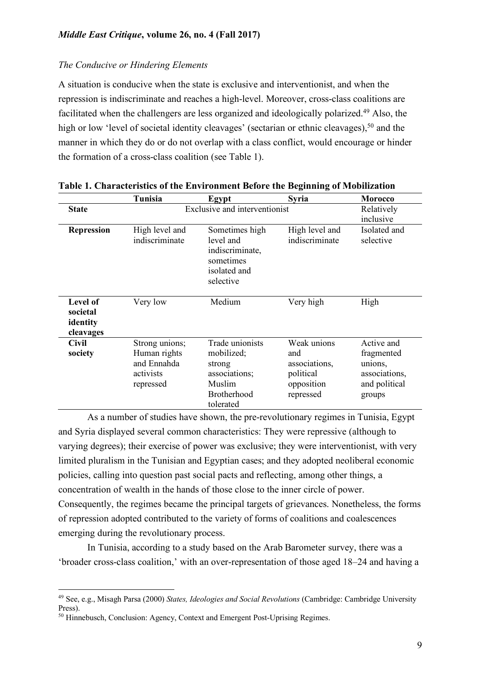# *The Conducive or Hindering Elements*

A situation is conducive when the state is exclusive and interventionist, and when the repression is indiscriminate and reaches a high-level. Moreover, cross-class coalitions are facilitated when the challengers are less organized and ideologically polarized.49 Also, the high or low 'level of societal identity cleavages' (sectarian or ethnic cleavages),<sup>50</sup> and the manner in which they do or do not overlap with a class conflict, would encourage or hinder the formation of a cross-class coalition (see Table 1).

|                                               | Tunisia                                                                 | Egypt                                                                                                 | <b>Syria</b>                                                                | <b>Morocco</b>                                                                  |
|-----------------------------------------------|-------------------------------------------------------------------------|-------------------------------------------------------------------------------------------------------|-----------------------------------------------------------------------------|---------------------------------------------------------------------------------|
| <b>State</b>                                  | <b>Exclusive and interventionist</b>                                    |                                                                                                       |                                                                             | Relatively<br>inclusive                                                         |
| <b>Repression</b>                             | High level and<br>indiscriminate                                        | Sometimes high<br>level and<br>indiscriminate,<br>sometimes<br>isolated and<br>selective              | High level and<br>indiscriminate                                            | Isolated and<br>selective                                                       |
| Level of<br>societal<br>identity<br>cleavages | Very low                                                                | Medium                                                                                                | Very high                                                                   | High                                                                            |
| <b>Civil</b><br>society                       | Strong unions;<br>Human rights<br>and Ennahda<br>activists<br>repressed | Trade unionists<br>mobilized;<br>strong<br>associations;<br>Muslim<br><b>Brotherhood</b><br>tolerated | Weak unions<br>and<br>associations,<br>political<br>opposition<br>repressed | Active and<br>fragmented<br>unions,<br>associations,<br>and political<br>groups |

### **Table 1. Characteristics of the Environment Before the Beginning of Mobilization**

As a number of studies have shown, the pre-revolutionary regimes in Tunisia, Egypt and Syria displayed several common characteristics: They were repressive (although to varying degrees); their exercise of power was exclusive; they were interventionist, with very limited pluralism in the Tunisian and Egyptian cases; and they adopted neoliberal economic policies, calling into question past social pacts and reflecting, among other things, a concentration of wealth in the hands of those close to the inner circle of power. Consequently, the regimes became the principal targets of grievances. Nonetheless, the forms of repression adopted contributed to the variety of forms of coalitions and coalescences emerging during the revolutionary process.

In Tunisia, according to a study based on the Arab Barometer survey, there was a 'broader cross-class coalition,' with an over-representation of those aged 18–24 and having a

 <sup>49</sup> See, e.g., Misagh Parsa (2000) *States, Ideologies and Social Revolutions* (Cambridge: Cambridge University Press).

<sup>&</sup>lt;sup>50</sup> Hinnebusch, Conclusion: Agency, Context and Emergent Post-Uprising Regimes.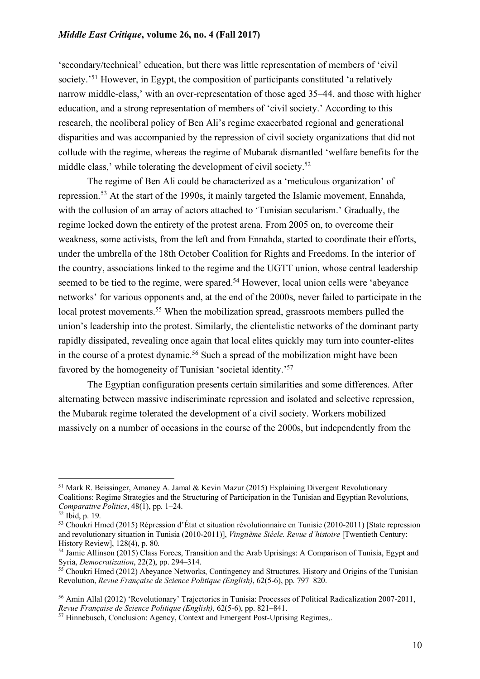'secondary/technical' education, but there was little representation of members of 'civil society.<sup>'51</sup> However, in Egypt, the composition of participants constituted 'a relatively narrow middle-class,' with an over-representation of those aged 35–44, and those with higher education, and a strong representation of members of 'civil society.' According to this research, the neoliberal policy of Ben Ali's regime exacerbated regional and generational disparities and was accompanied by the repression of civil society organizations that did not collude with the regime, whereas the regime of Mubarak dismantled 'welfare benefits for the middle class,' while tolerating the development of civil society.<sup>52</sup>

The regime of Ben Ali could be characterized as a 'meticulous organization' of repression.53 At the start of the 1990s, it mainly targeted the Islamic movement, Ennahda, with the collusion of an array of actors attached to 'Tunisian secularism.' Gradually, the regime locked down the entirety of the protest arena. From 2005 on, to overcome their weakness, some activists, from the left and from Ennahda, started to coordinate their efforts, under the umbrella of the 18th October Coalition for Rights and Freedoms. In the interior of the country, associations linked to the regime and the UGTT union, whose central leadership seemed to be tied to the regime, were spared.<sup>54</sup> However, local union cells were 'abeyance networks' for various opponents and, at the end of the 2000s, never failed to participate in the local protest movements.<sup>55</sup> When the mobilization spread, grassroots members pulled the union's leadership into the protest. Similarly, the clientelistic networks of the dominant party rapidly dissipated, revealing once again that local elites quickly may turn into counter-elites in the course of a protest dynamic.<sup>56</sup> Such a spread of the mobilization might have been favored by the homogeneity of Tunisian 'societal identity.'57

The Egyptian configuration presents certain similarities and some differences. After alternating between massive indiscriminate repression and isolated and selective repression, the Mubarak regime tolerated the development of a civil society. Workers mobilized massively on a number of occasions in the course of the 2000s, but independently from the

 <sup>51</sup> Mark R. Beissinger, Amaney A. Jamal & Kevin Mazur (2015) Explaining Divergent Revolutionary Coalitions: Regime Strategies and the Structuring of Participation in the Tunisian and Egyptian Revolutions, *Comparative Politics*, 48(1), pp. 1–24.<br><sup>52</sup> Ibid, p. 19.<br><sup>53</sup> Choukri Hmed (2015) Répression d'État et situation révolutionnaire en Tunisie (2010-2011) [State repression

and revolutionary situation in Tunisia (2010-2011)], *Vingtième Siècle. Revue d'histoire* [Twentieth Century: History Review], 128(4), p. 80.

<sup>&</sup>lt;sup>54</sup> Jamie Allinson (2015) Class Forces, Transition and the Arab Uprisings: A Comparison of Tunisia, Egypt and Syria, *Democratization*, 22(2), pp. 294–314.

<sup>&</sup>lt;sup>55</sup> Choukri Hmed (2012) Abeyance Networks, Contingency and Structures. History and Origins of the Tunisian Revolution, *Revue Française de Science Politique (English)*, 62(5-6), pp. 797–820.

<sup>56</sup> Amin Allal (2012) 'Revolutionary' Trajectories in Tunisia: Processes of Political Radicalization 2007-2011, *Revue Française de Science Politique (English)*, 62(5-6), pp. 821–841.

<sup>57</sup> Hinnebusch, Conclusion: Agency, Context and Emergent Post-Uprising Regimes,.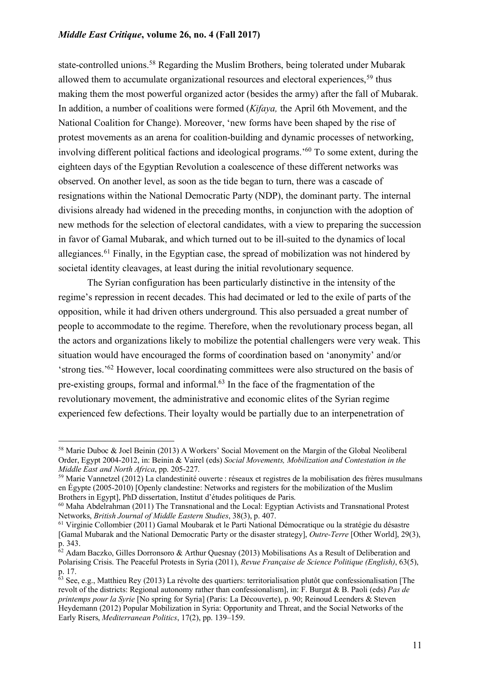state-controlled unions.<sup>58</sup> Regarding the Muslim Brothers, being tolerated under Mubarak allowed them to accumulate organizational resources and electoral experiences,<sup>59</sup> thus making them the most powerful organized actor (besides the army) after the fall of Mubarak. In addition, a number of coalitions were formed (*Kifaya,* the April 6th Movement, and the National Coalition for Change). Moreover, 'new forms have been shaped by the rise of protest movements as an arena for coalition-building and dynamic processes of networking, involving different political factions and ideological programs.'60 To some extent, during the eighteen days of the Egyptian Revolution a coalescence of these different networks was observed. On another level, as soon as the tide began to turn, there was a cascade of resignations within the National Democratic Party (NDP), the dominant party. The internal divisions already had widened in the preceding months, in conjunction with the adoption of new methods for the selection of electoral candidates, with a view to preparing the succession in favor of Gamal Mubarak, and which turned out to be ill-suited to the dynamics of local allegiances.<sup>61</sup> Finally, in the Egyptian case, the spread of mobilization was not hindered by societal identity cleavages, at least during the initial revolutionary sequence.

The Syrian configuration has been particularly distinctive in the intensity of the regime's repression in recent decades. This had decimated or led to the exile of parts of the opposition, while it had driven others underground. This also persuaded a great number of people to accommodate to the regime. Therefore, when the revolutionary process began, all the actors and organizations likely to mobilize the potential challengers were very weak. This situation would have encouraged the forms of coordination based on 'anonymity' and/or 'strong ties.'62 However, local coordinating committees were also structured on the basis of pre-existing groups, formal and informal.63 In the face of the fragmentation of the revolutionary movement, the administrative and economic elites of the Syrian regime experienced few defections. Their loyalty would be partially due to an interpenetration of

 <sup>58</sup> Marie Duboc & Joel Beinin (2013) A Workers' Social Movement on the Margin of the Global Neoliberal Order, Egypt 2004-2012, in: Beinin & Vairel (eds) *Social Movements, Mobilization and Contestation in the Middle East and North Africa*, pp. 205-227.

<sup>&</sup>lt;sup>59</sup> Marie Vannetzel (2012) La clandestinité ouverte : réseaux et registres de la mobilisation des frères musulmans en Égypte (2005-2010) [Openly clandestine: Networks and registers for the mobilization of the Muslim Brothers in Egypt], PhD dissertation, Institut d'études politiques de Paris.

<sup>&</sup>lt;sup>60</sup> Maha Abdelrahman (2011) The Transnational and the Local: Egyptian Activists and Transnational Protest Networks, *British Journal of Middle Eastern Studies*, 38(3), p. 407.

<sup>61</sup> Virginie Collombier (2011) Gamal Moubarak et le Parti National Démocratique ou la stratégie du désastre [Gamal Mubarak and the National Democratic Party or the disaster strategy], *Outre-Terre* [Other World], 29(3), p. 343.

 $62$  Adam Baczko, Gilles Dorronsoro & Arthur Quesnay (2013) Mobilisations As a Result of Deliberation and Polarising Crisis. The Peaceful Protests in Syria (2011), *Revue Française de Science Politique (English)*, 63(5), p. 17.

 $63$  See, e.g., Matthieu Rey (2013) La révolte des quartiers: territorialisation plutôt que confessionalisation [The revolt of the districts: Regional autonomy rather than confessionalism], in: F. Burgat & B. Paoli (eds) *Pas de printemps pour la Syrie* [No spring for Syria] (Paris: La Découverte), p. 90; Reinoud Leenders & Steven Heydemann (2012) Popular Mobilization in Syria: Opportunity and Threat, and the Social Networks of the Early Risers, *Mediterranean Politics*, 17(2), pp. 139–159.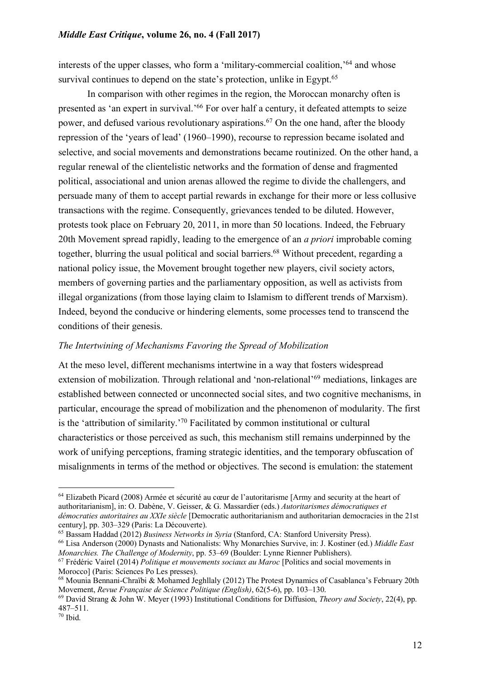interests of the upper classes, who form a 'military-commercial coalition,'<sup>64</sup> and whose survival continues to depend on the state's protection, unlike in Egypt.<sup>65</sup>

In comparison with other regimes in the region, the Moroccan monarchy often is presented as 'an expert in survival.'<sup>66</sup> For over half a century, it defeated attempts to seize power, and defused various revolutionary aspirations.<sup>67</sup> On the one hand, after the bloody repression of the 'years of lead' (1960–1990), recourse to repression became isolated and selective, and social movements and demonstrations became routinized. On the other hand, a regular renewal of the clientelistic networks and the formation of dense and fragmented political, associational and union arenas allowed the regime to divide the challengers, and persuade many of them to accept partial rewards in exchange for their more or less collusive transactions with the regime. Consequently, grievances tended to be diluted. However, protests took place on February 20, 2011, in more than 50 locations. Indeed, the February 20th Movement spread rapidly, leading to the emergence of an *a priori* improbable coming together, blurring the usual political and social barriers.<sup>68</sup> Without precedent, regarding a national policy issue, the Movement brought together new players, civil society actors, members of governing parties and the parliamentary opposition, as well as activists from illegal organizations (from those laying claim to Islamism to different trends of Marxism). Indeed, beyond the conducive or hindering elements, some processes tend to transcend the conditions of their genesis.

### *The Intertwining of Mechanisms Favoring the Spread of Mobilization*

At the meso level, different mechanisms intertwine in a way that fosters widespread extension of mobilization. Through relational and 'non-relational'69 mediations, linkages are established between connected or unconnected social sites, and two cognitive mechanisms, in particular, encourage the spread of mobilization and the phenomenon of modularity. The first is the 'attribution of similarity.'70 Facilitated by common institutional or cultural characteristics or those perceived as such, this mechanism still remains underpinned by the work of unifying perceptions, framing strategic identities, and the temporary obfuscation of misalignments in terms of the method or objectives. The second is emulation: the statement

 <sup>64</sup> Elizabeth Picard (2008) Armée et sécurité au cœur de l'autoritarisme [Army and security at the heart of authoritarianism], in: O. Dabène, V. Geisser, & G. Massardier (eds.) *Autoritarismes démocratiques et démocraties autoritaires au XXIe siècle* [Democratic authoritarianism and authoritarian democracies in the 21st century], pp. 303–329 (Paris: La Découverte).

<sup>65</sup> Bassam Haddad (2012) *Business Networks in Syria* (Stanford, CA: Stanford University Press).

<sup>66</sup> Lisa Anderson (2000) Dynasts and Nationalists: Why Monarchies Survive, in: J. Kostiner (ed.) *Middle East Monarchies. The Challenge of Modernity*, pp. 53–69 (Boulder: Lynne Rienner Publishers).

<sup>67</sup> Frédéric Vairel (2014) *Politique et mouvements sociaux au Maroc* [Politics and social movements in Morocco] (Paris: Sciences Po Les presses).

<sup>68</sup> Mounia Bennani-Chraïbi & Mohamed Jeghllaly (2012) The Protest Dynamics of Casablanca's February 20th Movement, *Revue Française de Science Politique (English)*, 62(5-6), pp. 103–130.

<sup>69</sup> David Strang & John W. Meyer (1993) Institutional Conditions for Diffusion, *Theory and Society*, 22(4), pp. 487–511.

 $70$  Ibid.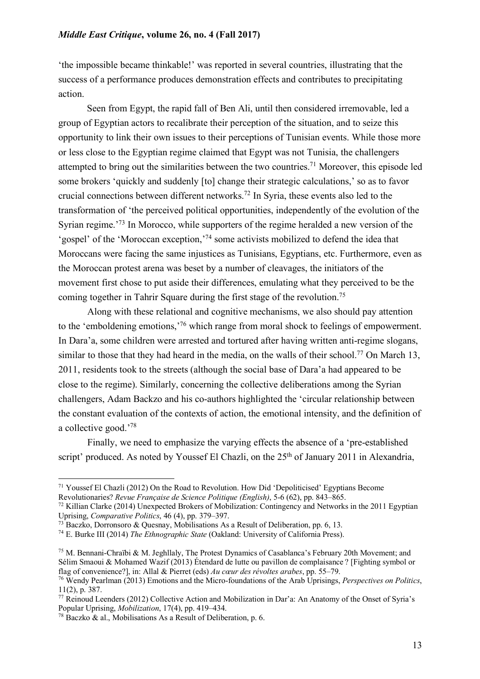'the impossible became thinkable!' was reported in several countries, illustrating that the success of a performance produces demonstration effects and contributes to precipitating action.

Seen from Egypt, the rapid fall of Ben Ali, until then considered irremovable, led a group of Egyptian actors to recalibrate their perception of the situation, and to seize this opportunity to link their own issues to their perceptions of Tunisian events. While those more or less close to the Egyptian regime claimed that Egypt was not Tunisia, the challengers attempted to bring out the similarities between the two countries.71 Moreover, this episode led some brokers 'quickly and suddenly [to] change their strategic calculations,' so as to favor crucial connections between different networks.72 In Syria, these events also led to the transformation of 'the perceived political opportunities, independently of the evolution of the Syrian regime.<sup>'73</sup> In Morocco, while supporters of the regime heralded a new version of the 'gospel' of the 'Moroccan exception,'74 some activists mobilized to defend the idea that Moroccans were facing the same injustices as Tunisians, Egyptians, etc. Furthermore, even as the Moroccan protest arena was beset by a number of cleavages, the initiators of the movement first chose to put aside their differences, emulating what they perceived to be the coming together in Tahrir Square during the first stage of the revolution.75

Along with these relational and cognitive mechanisms, we also should pay attention to the 'emboldening emotions,'76 which range from moral shock to feelings of empowerment. In Dara'a, some children were arrested and tortured after having written anti-regime slogans, similar to those that they had heard in the media, on the walls of their school.<sup>77</sup> On March 13, 2011, residents took to the streets (although the social base of Dara'a had appeared to be close to the regime). Similarly, concerning the collective deliberations among the Syrian challengers, Adam Backzo and his co-authors highlighted the 'circular relationship between the constant evaluation of the contexts of action, the emotional intensity, and the definition of a collective good.'78

Finally, we need to emphasize the varying effects the absence of a 'pre-established script' produced. As noted by Youssef El Chazli, on the  $25<sup>th</sup>$  of January 2011 in Alexandria,

 <sup>71</sup> Youssef El Chazli (2012) On the Road to Revolution. How Did 'Depoliticised' Egyptians Become Revolutionaries? *Revue Française de Science Politique (English)*, 5-6 (62), pp. 843–865.

<sup>&</sup>lt;sup>72</sup> Killian Clarke (2014) Unexpected Brokers of Mobilization: Contingency and Networks in the 2011 Egyptian Uprising, *Comparative Politics*, 46 (4), pp. 379–397.

<sup>73</sup> Baczko, Dorronsoro & Quesnay, Mobilisations As a Result of Deliberation, pp. 6, 13.

<sup>74</sup> E. Burke III (2014) *The Ethnographic State* (Oakland: University of California Press).

<sup>75</sup> M. Bennani-Chraïbi & M. Jeghllaly, The Protest Dynamics of Casablanca's February 20th Movement; and Sélim Smaoui & Mohamed Wazif (2013) Étendard de lutte ou pavillon de complaisance ? [Fighting symbol or flag of convenience?], in: Allal & Pierret (eds) *Au cœur des révoltes arabes*, pp. 55–79.

<sup>76</sup> Wendy Pearlman (2013) Emotions and the Micro-foundations of the Arab Uprisings, *Perspectives on Politics*, 11(2), p. 387.

<sup>77</sup> Reinoud Leenders (2012) Collective Action and Mobilization in Dar'a: An Anatomy of the Onset of Syria's Popular Uprising, *Mobilization*, 17(4), pp. 419–434.

<sup>78</sup> Baczko & al., Mobilisations As a Result of Deliberation, p. 6.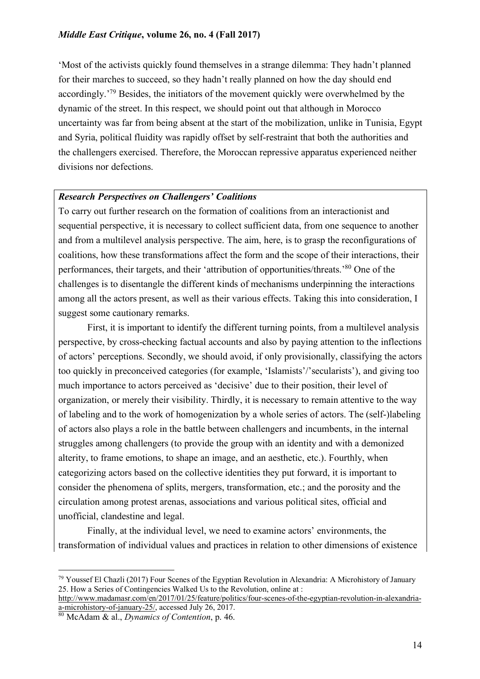'Most of the activists quickly found themselves in a strange dilemma: They hadn't planned for their marches to succeed, so they hadn't really planned on how the day should end accordingly.'79 Besides, the initiators of the movement quickly were overwhelmed by the dynamic of the street. In this respect, we should point out that although in Morocco uncertainty was far from being absent at the start of the mobilization, unlike in Tunisia, Egypt and Syria, political fluidity was rapidly offset by self-restraint that both the authorities and the challengers exercised. Therefore, the Moroccan repressive apparatus experienced neither divisions nor defections.

### *Research Perspectives on Challengers' Coalitions*

To carry out further research on the formation of coalitions from an interactionist and sequential perspective, it is necessary to collect sufficient data, from one sequence to another and from a multilevel analysis perspective. The aim, here, is to grasp the reconfigurations of coalitions, how these transformations affect the form and the scope of their interactions, their performances, their targets, and their 'attribution of opportunities/threats.'80 One of the challenges is to disentangle the different kinds of mechanisms underpinning the interactions among all the actors present, as well as their various effects. Taking this into consideration, I suggest some cautionary remarks.

First, it is important to identify the different turning points, from a multilevel analysis perspective, by cross-checking factual accounts and also by paying attention to the inflections of actors' perceptions. Secondly, we should avoid, if only provisionally, classifying the actors too quickly in preconceived categories (for example, 'Islamists'/'secularists'), and giving too much importance to actors perceived as 'decisive' due to their position, their level of organization, or merely their visibility. Thirdly, it is necessary to remain attentive to the way of labeling and to the work of homogenization by a whole series of actors. The (self-)labeling of actors also plays a role in the battle between challengers and incumbents, in the internal struggles among challengers (to provide the group with an identity and with a demonized alterity, to frame emotions, to shape an image, and an aesthetic, etc.). Fourthly, when categorizing actors based on the collective identities they put forward, it is important to consider the phenomena of splits, mergers, transformation, etc.; and the porosity and the circulation among protest arenas, associations and various political sites, official and unofficial, clandestine and legal.

Finally, at the individual level, we need to examine actors' environments, the transformation of individual values and practices in relation to other dimensions of existence

 <sup>79</sup> Youssef El Chazli (2017) Four Scenes of the Egyptian Revolution in Alexandria: A Microhistory of January 25. How a Series of Contingencies Walked Us to the Revolution, online at :

http://www.madamasr.com/en/2017/01/25/feature/politics/four-scenes-of-the-egyptian-revolution-in-alexandriaa-microhistory-of-january-25/, accessed July 26, 2017.

<sup>80</sup> McAdam & al., *Dynamics of Contention*, p. 46.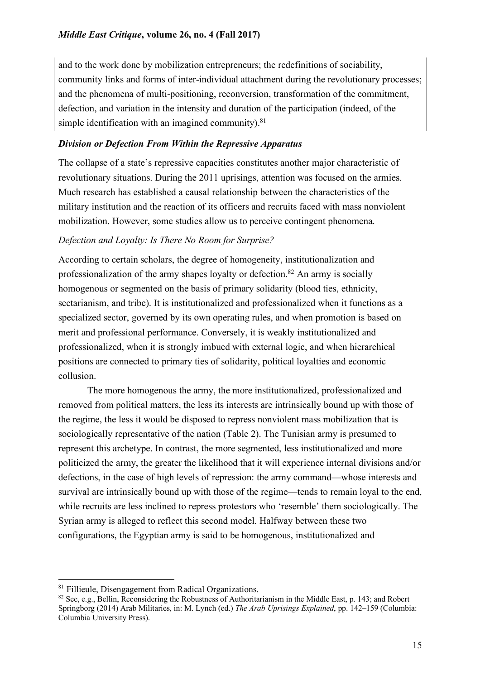and to the work done by mobilization entrepreneurs; the redefinitions of sociability, community links and forms of inter-individual attachment during the revolutionary processes; and the phenomena of multi-positioning, reconversion, transformation of the commitment, defection, and variation in the intensity and duration of the participation (indeed, of the simple identification with an imagined community). $81$ 

### *Division or Defection From Within the Repressive Apparatus*

The collapse of a state's repressive capacities constitutes another major characteristic of revolutionary situations. During the 2011 uprisings, attention was focused on the armies. Much research has established a causal relationship between the characteristics of the military institution and the reaction of its officers and recruits faced with mass nonviolent mobilization. However, some studies allow us to perceive contingent phenomena.

# *Defection and Loyalty: Is There No Room for Surprise?*

According to certain scholars, the degree of homogeneity, institutionalization and professionalization of the army shapes loyalty or defection.82 An army is socially homogenous or segmented on the basis of primary solidarity (blood ties, ethnicity, sectarianism, and tribe). It is institutionalized and professionalized when it functions as a specialized sector, governed by its own operating rules, and when promotion is based on merit and professional performance. Conversely, it is weakly institutionalized and professionalized, when it is strongly imbued with external logic, and when hierarchical positions are connected to primary ties of solidarity, political loyalties and economic collusion.

The more homogenous the army, the more institutionalized, professionalized and removed from political matters, the less its interests are intrinsically bound up with those of the regime, the less it would be disposed to repress nonviolent mass mobilization that is sociologically representative of the nation (Table 2). The Tunisian army is presumed to represent this archetype. In contrast, the more segmented, less institutionalized and more politicized the army, the greater the likelihood that it will experience internal divisions and/or defections, in the case of high levels of repression: the army command—whose interests and survival are intrinsically bound up with those of the regime—tends to remain loyal to the end, while recruits are less inclined to repress protestors who 'resemble' them sociologically. The Syrian army is alleged to reflect this second model. Halfway between these two configurations, the Egyptian army is said to be homogenous, institutionalized and

<sup>&</sup>lt;sup>81</sup> Fillieule, Disengagement from Radical Organizations.

<sup>82</sup> See, e.g., Bellin, Reconsidering the Robustness of Authoritarianism in the Middle East, p. 143; and Robert Springborg (2014) Arab Militaries, in: M. Lynch (ed.) *The Arab Uprisings Explained*, pp. 142–159 (Columbia: Columbia University Press).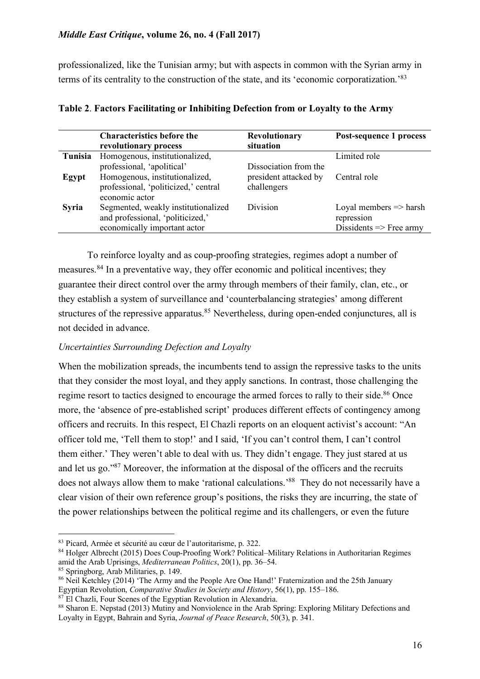professionalized, like the Tunisian army; but with aspects in common with the Syrian army in terms of its centrality to the construction of the state, and its 'economic corporatization.'83

|              | <b>Characteristics before the</b><br>revolutionary process | Revolutionary<br>situation | Post-sequence 1 process            |
|--------------|------------------------------------------------------------|----------------------------|------------------------------------|
| Tunisia      | Homogenous, institutionalized,                             |                            | Limited role                       |
|              | professional, 'apolitical'                                 | Dissociation from the      |                                    |
| Egypt        | Homogenous, institutionalized,                             | president attacked by      | Central role                       |
|              | professional, 'politicized,' central<br>economic actor     | challengers                |                                    |
| <b>Syria</b> | Segmented, weakly institutionalized                        | <b>Division</b>            | Loyal members $\Rightarrow$ harsh  |
|              | and professional, 'politicized,'                           |                            | repression                         |
|              | economically important actor                               |                            | Dissidents $\Rightarrow$ Free army |

#### **Table 2**. **Factors Facilitating or Inhibiting Defection from or Loyalty to the Army**

To reinforce loyalty and as coup-proofing strategies, regimes adopt a number of measures.84 In a preventative way, they offer economic and political incentives; they guarantee their direct control over the army through members of their family, clan, etc., or they establish a system of surveillance and 'counterbalancing strategies' among different structures of the repressive apparatus.<sup>85</sup> Nevertheless, during open-ended conjunctures, all is not decided in advance.

# *Uncertainties Surrounding Defection and Loyalty*

When the mobilization spreads, the incumbents tend to assign the repressive tasks to the units that they consider the most loyal, and they apply sanctions. In contrast, those challenging the regime resort to tactics designed to encourage the armed forces to rally to their side.<sup>86</sup> Once more, the 'absence of pre-established script' produces different effects of contingency among officers and recruits. In this respect, El Chazli reports on an eloquent activist's account: "An officer told me, 'Tell them to stop!' and I said, 'If you can't control them, I can't control them either.' They weren't able to deal with us. They didn't engage. They just stared at us and let us go."87 Moreover, the information at the disposal of the officers and the recruits does not always allow them to make 'rational calculations.'88 They do not necessarily have a clear vision of their own reference group's positions, the risks they are incurring, the state of the power relationships between the political regime and its challengers, or even the future

 <sup>83</sup> Picard, Armée et sécurité au cœur de l'autoritarisme, p. 322.

<sup>84</sup> Holger Albrecht (2015) Does Coup-Proofing Work? Political–Military Relations in Authoritarian Regimes amid the Arab Uprisings, *Mediterranean Politics*, 20(1), pp. 36–54.

<sup>&</sup>lt;sup>86</sup> Neil Ketchley (2014) 'The Army and the People Are One Hand!' Fraternization and the 25th January Egyptian Revolution, *Comparative Studies in Society and History*, 56(1), pp. 155–186.

<sup>&</sup>lt;sup>87</sup> El Chazli, Four Scenes of the Egyptian Revolution in Alexandria.

<sup>88</sup> Sharon E. Nepstad (2013) Mutiny and Nonviolence in the Arab Spring: Exploring Military Defections and Loyalty in Egypt, Bahrain and Syria, *Journal of Peace Research*, 50(3), p. 341.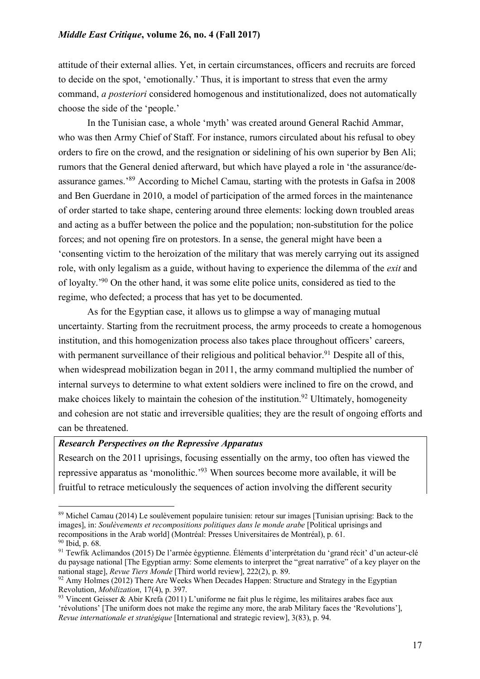attitude of their external allies. Yet, in certain circumstances, officers and recruits are forced to decide on the spot, 'emotionally.' Thus, it is important to stress that even the army command, *a posteriori* considered homogenous and institutionalized, does not automatically choose the side of the 'people.'

In the Tunisian case, a whole 'myth' was created around General Rachid Ammar, who was then Army Chief of Staff. For instance, rumors circulated about his refusal to obey orders to fire on the crowd, and the resignation or sidelining of his own superior by Ben Ali; rumors that the General denied afterward, but which have played a role in 'the assurance/deassurance games.'89 According to Michel Camau, starting with the protests in Gafsa in 2008 and Ben Guerdane in 2010, a model of participation of the armed forces in the maintenance of order started to take shape, centering around three elements: locking down troubled areas and acting as a buffer between the police and the population; non-substitution for the police forces; and not opening fire on protestors. In a sense, the general might have been a 'consenting victim to the heroization of the military that was merely carrying out its assigned role, with only legalism as a guide, without having to experience the dilemma of the *exit* and of loyalty.'90 On the other hand, it was some elite police units, considered as tied to the regime, who defected; a process that has yet to be documented.

As for the Egyptian case, it allows us to glimpse a way of managing mutual uncertainty. Starting from the recruitment process, the army proceeds to create a homogenous institution, and this homogenization process also takes place throughout officers' careers, with permanent surveillance of their religious and political behavior.<sup>91</sup> Despite all of this, when widespread mobilization began in 2011, the army command multiplied the number of internal surveys to determine to what extent soldiers were inclined to fire on the crowd, and make choices likely to maintain the cohesion of the institution.<sup>92</sup> Ultimately, homogeneity and cohesion are not static and irreversible qualities; they are the result of ongoing efforts and can be threatened.

# *Research Perspectives on the Repressive Apparatus*

Research on the 2011 uprisings, focusing essentially on the army, too often has viewed the repressive apparatus as 'monolithic.'93 When sources become more available, it will be fruitful to retrace meticulously the sequences of action involving the different security

 <sup>89</sup> Michel Camau (2014) Le soulèvement populaire tunisien: retour sur images [Tunisian uprising: Back to the images], in: *Soulèvements et recompositions politiques dans le monde arabe* [Political uprisings and recompositions in the Arab world] (Montréal: Presses Universitaires de Montréal), p. 61. <sup>90</sup> Ibid, p. 68.

<sup>91</sup> Tewfik Aclimandos (2015) De l'armée égyptienne. Éléments d'interprétation du 'grand récit' d'un acteur-clé du paysage national [The Egyptian army: Some elements to interpret the "great narrative" of a key player on the national stage], *Revue Tiers Monde* [Third world review], 222(2), p. 89.

 $92$  Amy Holmes (2012) There Are Weeks When Decades Happen: Structure and Strategy in the Egyptian Revolution, *Mobilization*, 17(4), p. 397.

<sup>&</sup>lt;sup>93</sup> Vincent Geisser & Abir Krefa (2011) L'uniforme ne fait plus le régime, les militaires arabes face aux 'révolutions' [The uniform does not make the regime any more, the arab Military faces the 'Revolutions'], *Revue internationale et stratégique* [International and strategic review], 3(83), p. 94.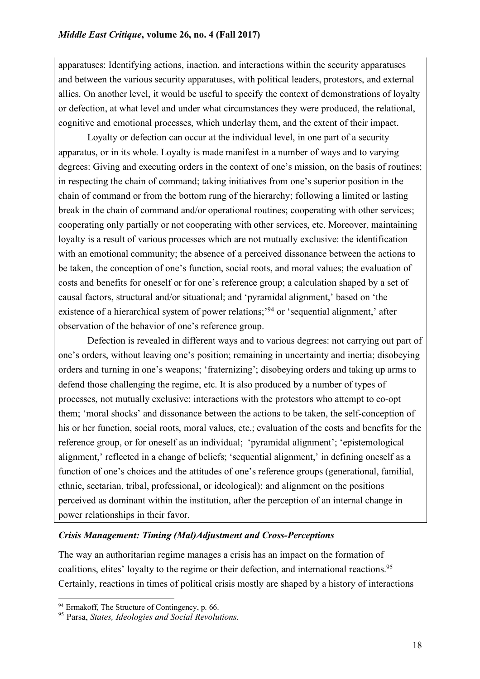apparatuses: Identifying actions, inaction, and interactions within the security apparatuses and between the various security apparatuses, with political leaders, protestors, and external allies. On another level, it would be useful to specify the context of demonstrations of loyalty or defection, at what level and under what circumstances they were produced, the relational, cognitive and emotional processes, which underlay them, and the extent of their impact.

Loyalty or defection can occur at the individual level, in one part of a security apparatus, or in its whole. Loyalty is made manifest in a number of ways and to varying degrees: Giving and executing orders in the context of one's mission, on the basis of routines; in respecting the chain of command; taking initiatives from one's superior position in the chain of command or from the bottom rung of the hierarchy; following a limited or lasting break in the chain of command and/or operational routines; cooperating with other services; cooperating only partially or not cooperating with other services, etc. Moreover, maintaining loyalty is a result of various processes which are not mutually exclusive: the identification with an emotional community; the absence of a perceived dissonance between the actions to be taken, the conception of one's function, social roots, and moral values; the evaluation of costs and benefits for oneself or for one's reference group; a calculation shaped by a set of causal factors, structural and/or situational; and 'pyramidal alignment,' based on 'the existence of a hierarchical system of power relations;<sup>34</sup> or 'sequential alignment,' after observation of the behavior of one's reference group.

Defection is revealed in different ways and to various degrees: not carrying out part of one's orders, without leaving one's position; remaining in uncertainty and inertia; disobeying orders and turning in one's weapons; 'fraternizing'; disobeying orders and taking up arms to defend those challenging the regime, etc. It is also produced by a number of types of processes, not mutually exclusive: interactions with the protestors who attempt to co-opt them; 'moral shocks' and dissonance between the actions to be taken, the self-conception of his or her function, social roots, moral values, etc.; evaluation of the costs and benefits for the reference group, or for oneself as an individual; 'pyramidal alignment'; 'epistemological alignment,' reflected in a change of beliefs; 'sequential alignment,' in defining oneself as a function of one's choices and the attitudes of one's reference groups (generational, familial, ethnic, sectarian, tribal, professional, or ideological); and alignment on the positions perceived as dominant within the institution, after the perception of an internal change in power relationships in their favor.

### *Crisis Management: Timing (Mal)Adjustment and Cross-Perceptions*

The way an authoritarian regime manages a crisis has an impact on the formation of coalitions, elites' loyalty to the regime or their defection, and international reactions.<sup>95</sup> Certainly, reactions in times of political crisis mostly are shaped by a history of interactions

<sup>&</sup>lt;sup>94</sup> Ermakoff, The Structure of Contingency, p. 66.

<sup>95</sup> Parsa, *States, Ideologies and Social Revolutions.*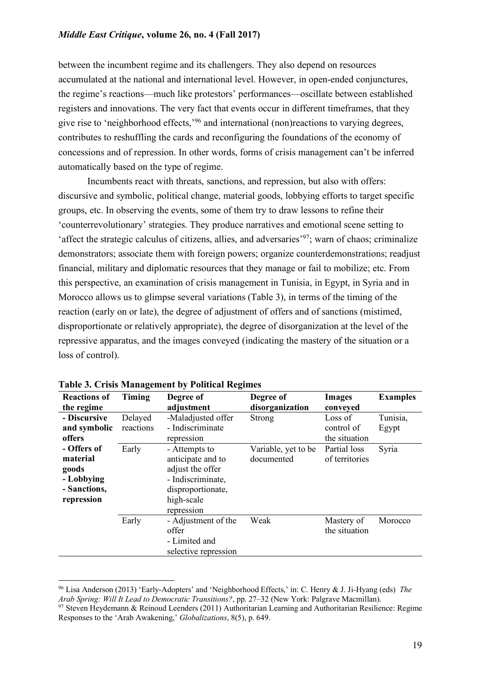between the incumbent regime and its challengers. They also depend on resources accumulated at the national and international level. However, in open-ended conjunctures, the regime's reactions—much like protestors' performances—oscillate between established registers and innovations. The very fact that events occur in different timeframes, that they give rise to 'neighborhood effects,'96 and international (non)reactions to varying degrees, contributes to reshuffling the cards and reconfiguring the foundations of the economy of concessions and of repression. In other words, forms of crisis management can't be inferred automatically based on the type of regime.

Incumbents react with threats, sanctions, and repression, but also with offers: discursive and symbolic, political change, material goods, lobbying efforts to target specific groups, etc. In observing the events, some of them try to draw lessons to refine their 'counterrevolutionary' strategies. They produce narratives and emotional scene setting to 'affect the strategic calculus of citizens, allies, and adversaries<sup>'97</sup>; warn of chaos; criminalize demonstrators; associate them with foreign powers; organize counterdemonstrations; readjust financial, military and diplomatic resources that they manage or fail to mobilize; etc. From this perspective, an examination of crisis management in Tunisia, in Egypt, in Syria and in Morocco allows us to glimpse several variations (Table 3), in terms of the timing of the reaction (early on or late), the degree of adjustment of offers and of sanctions (mistimed, disproportionate or relatively appropriate), the degree of disorganization at the level of the repressive apparatus, and the images conveyed (indicating the mastery of the situation or a loss of control).

| <b>Reactions of</b><br>the regime                                            | Timing               | Degree of<br>adjustment                                                                                                      | Degree of<br>disorganization      | <b>Images</b><br>conveyed              | <b>Examples</b>   |
|------------------------------------------------------------------------------|----------------------|------------------------------------------------------------------------------------------------------------------------------|-----------------------------------|----------------------------------------|-------------------|
| - Discursive<br>and symbolic<br>offers                                       | Delayed<br>reactions | -Maladjusted offer<br>- Indiscriminate<br>repression                                                                         | <b>Strong</b>                     | Loss of<br>control of<br>the situation | Tunisia,<br>Egypt |
| - Offers of<br>material<br>goods<br>- Lobbying<br>- Sanctions,<br>repression | Early                | - Attempts to<br>anticipate and to<br>adjust the offer<br>- Indiscriminate,<br>disproportionate,<br>high-scale<br>repression | Variable, yet to be<br>documented | Partial loss<br>of territories         | Syria             |
|                                                                              | Early                | - Adjustment of the<br>offer<br>- Limited and<br>selective repression                                                        | Weak                              | Mastery of<br>the situation            | Morocco           |

**Table 3. Crisis Management by Political Regimes**

 <sup>96</sup> Lisa Anderson (2013) 'Early-Adopters' and 'Neighborhood Effects,' in: C. Henry & J. Ji-Hyang (eds) *The Arab Spring: Will It Lead to Democratic Transitions?*, pp. 27–32 (New York: Palgrave Macmillan).

<sup>97</sup> Steven Heydemann & Reinoud Leenders (2011) Authoritarian Learning and Authoritarian Resilience: Regime Responses to the 'Arab Awakening,' *Globalizations*, 8(5), p. 649.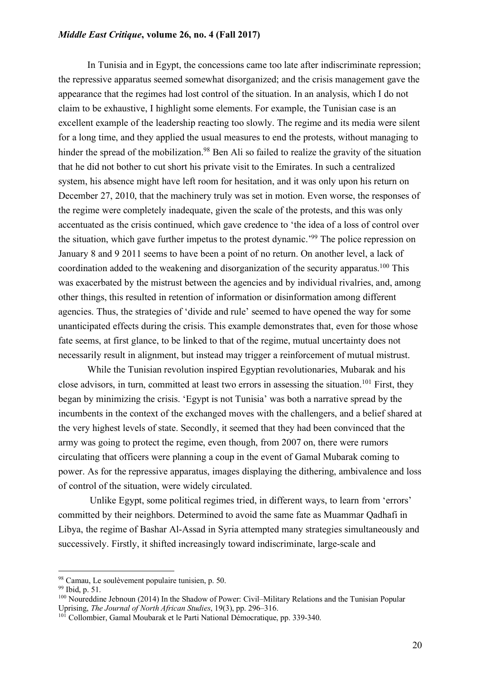In Tunisia and in Egypt, the concessions came too late after indiscriminate repression; the repressive apparatus seemed somewhat disorganized; and the crisis management gave the appearance that the regimes had lost control of the situation. In an analysis, which I do not claim to be exhaustive, I highlight some elements. For example, the Tunisian case is an excellent example of the leadership reacting too slowly. The regime and its media were silent for a long time, and they applied the usual measures to end the protests, without managing to hinder the spread of the mobilization.<sup>98</sup> Ben Ali so failed to realize the gravity of the situation that he did not bother to cut short his private visit to the Emirates. In such a centralized system, his absence might have left room for hesitation, and it was only upon his return on December 27, 2010, that the machinery truly was set in motion. Even worse, the responses of the regime were completely inadequate, given the scale of the protests, and this was only accentuated as the crisis continued, which gave credence to 'the idea of a loss of control over the situation, which gave further impetus to the protest dynamic.'99 The police repression on January 8 and 9 2011 seems to have been a point of no return. On another level, a lack of coordination added to the weakening and disorganization of the security apparatus.100 This was exacerbated by the mistrust between the agencies and by individual rivalries, and, among other things, this resulted in retention of information or disinformation among different agencies. Thus, the strategies of 'divide and rule' seemed to have opened the way for some unanticipated effects during the crisis. This example demonstrates that, even for those whose fate seems, at first glance, to be linked to that of the regime, mutual uncertainty does not necessarily result in alignment, but instead may trigger a reinforcement of mutual mistrust.

While the Tunisian revolution inspired Egyptian revolutionaries, Mubarak and his close advisors, in turn, committed at least two errors in assessing the situation.<sup>101</sup> First, they began by minimizing the crisis. 'Egypt is not Tunisia' was both a narrative spread by the incumbents in the context of the exchanged moves with the challengers, and a belief shared at the very highest levels of state. Secondly, it seemed that they had been convinced that the army was going to protect the regime, even though, from 2007 on, there were rumors circulating that officers were planning a coup in the event of Gamal Mubarak coming to power. As for the repressive apparatus, images displaying the dithering, ambivalence and loss of control of the situation, were widely circulated.

Unlike Egypt, some political regimes tried, in different ways, to learn from 'errors' committed by their neighbors. Determined to avoid the same fate as Muammar Qadhafi in Libya, the regime of Bashar Al-Assad in Syria attempted many strategies simultaneously and successively. Firstly, it shifted increasingly toward indiscriminate, large-scale and

 <sup>98</sup> Camau, Le soulèvement populaire tunisien, p. 50.

<sup>99</sup> Ibid, p. 51.

<sup>&</sup>lt;sup>100</sup> Noureddine Jebnoun (2014) In the Shadow of Power: Civil–Military Relations and the Tunisian Popular Uprising, *The Journal of North African Studies*, 19(3), pp. 296–316.

<sup>&</sup>lt;sup>101</sup> Collombier, Gamal Moubarak et le Parti National Démocratique, pp. 339-340.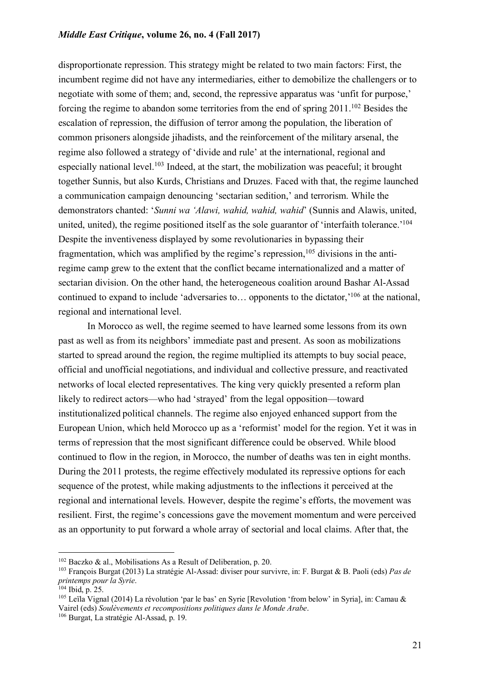disproportionate repression. This strategy might be related to two main factors: First, the incumbent regime did not have any intermediaries, either to demobilize the challengers or to negotiate with some of them; and, second, the repressive apparatus was 'unfit for purpose,' forcing the regime to abandon some territories from the end of spring  $2011$ .<sup>102</sup> Besides the escalation of repression, the diffusion of terror among the population, the liberation of common prisoners alongside jihadists, and the reinforcement of the military arsenal, the regime also followed a strategy of 'divide and rule' at the international, regional and especially national level.<sup>103</sup> Indeed, at the start, the mobilization was peaceful; it brought together Sunnis, but also Kurds, Christians and Druzes. Faced with that, the regime launched a communication campaign denouncing 'sectarian sedition,' and terrorism. While the demonstrators chanted: '*Sunni wa 'Alawi, wahid, wahid, wahid*' (Sunnis and Alawis, united, united, united), the regime positioned itself as the sole guarantor of 'interfaith tolerance.'<sup>104</sup> Despite the inventiveness displayed by some revolutionaries in bypassing their fragmentation, which was amplified by the regime's repression,<sup>105</sup> divisions in the antiregime camp grew to the extent that the conflict became internationalized and a matter of sectarian division. On the other hand, the heterogeneous coalition around Bashar Al-Assad continued to expand to include 'adversaries to… opponents to the dictator,'106 at the national, regional and international level.

In Morocco as well, the regime seemed to have learned some lessons from its own past as well as from its neighbors' immediate past and present. As soon as mobilizations started to spread around the region, the regime multiplied its attempts to buy social peace, official and unofficial negotiations, and individual and collective pressure, and reactivated networks of local elected representatives. The king very quickly presented a reform plan likely to redirect actors—who had 'strayed' from the legal opposition—toward institutionalized political channels. The regime also enjoyed enhanced support from the European Union, which held Morocco up as a 'reformist' model for the region. Yet it was in terms of repression that the most significant difference could be observed. While blood continued to flow in the region, in Morocco, the number of deaths was ten in eight months. During the 2011 protests, the regime effectively modulated its repressive options for each sequence of the protest, while making adjustments to the inflections it perceived at the regional and international levels. However, despite the regime's efforts, the movement was resilient. First, the regime's concessions gave the movement momentum and were perceived as an opportunity to put forward a whole array of sectorial and local claims. After that, the

<sup>&</sup>lt;sup>102</sup> Baczko & al., Mobilisations As a Result of Deliberation, p. 20.

<sup>103</sup> François Burgat (2013) La stratégie Al-Assad: diviser pour survivre, in: F. Burgat & B. Paoli (eds) *Pas de printemps pour la Syrie*. 104 Ibid, p. 25.

<sup>105</sup> Leïla Vignal (2014) La révolution 'par le bas' en Syrie [Revolution 'from below' in Syria], in: Camau & Vairel (eds) *Soulèvements et recompositions politiques dans le Monde Arabe*. 106 Burgat, La stratégie Al-Assad, p. 19.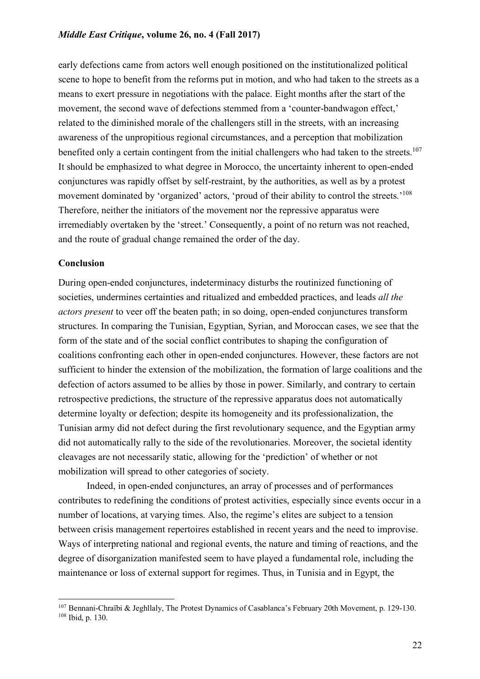early defections came from actors well enough positioned on the institutionalized political scene to hope to benefit from the reforms put in motion, and who had taken to the streets as a means to exert pressure in negotiations with the palace. Eight months after the start of the movement, the second wave of defections stemmed from a 'counter-bandwagon effect,' related to the diminished morale of the challengers still in the streets, with an increasing awareness of the unpropitious regional circumstances, and a perception that mobilization benefited only a certain contingent from the initial challengers who had taken to the streets.<sup>107</sup> It should be emphasized to what degree in Morocco, the uncertainty inherent to open-ended conjunctures was rapidly offset by self-restraint, by the authorities, as well as by a protest movement dominated by 'organized' actors, 'proud of their ability to control the streets.'108 Therefore, neither the initiators of the movement nor the repressive apparatus were irremediably overtaken by the 'street.' Consequently, a point of no return was not reached, and the route of gradual change remained the order of the day.

### **Conclusion**

During open-ended conjunctures, indeterminacy disturbs the routinized functioning of societies, undermines certainties and ritualized and embedded practices, and leads *all the actors present* to veer off the beaten path; in so doing, open-ended conjunctures transform structures. In comparing the Tunisian, Egyptian, Syrian, and Moroccan cases, we see that the form of the state and of the social conflict contributes to shaping the configuration of coalitions confronting each other in open-ended conjunctures. However, these factors are not sufficient to hinder the extension of the mobilization, the formation of large coalitions and the defection of actors assumed to be allies by those in power. Similarly, and contrary to certain retrospective predictions, the structure of the repressive apparatus does not automatically determine loyalty or defection; despite its homogeneity and its professionalization, the Tunisian army did not defect during the first revolutionary sequence, and the Egyptian army did not automatically rally to the side of the revolutionaries. Moreover, the societal identity cleavages are not necessarily static, allowing for the 'prediction' of whether or not mobilization will spread to other categories of society.

Indeed, in open-ended conjunctures, an array of processes and of performances contributes to redefining the conditions of protest activities, especially since events occur in a number of locations, at varying times. Also, the regime's elites are subject to a tension between crisis management repertoires established in recent years and the need to improvise. Ways of interpreting national and regional events, the nature and timing of reactions, and the degree of disorganization manifested seem to have played a fundamental role, including the maintenance or loss of external support for regimes. Thus, in Tunisia and in Egypt, the

 <sup>107</sup> Bennani-Chraïbi & Jeghllaly, The Protest Dynamics of Casablanca's February 20th Movement, p. 129-130.

<sup>108</sup> Ibid, p. 130.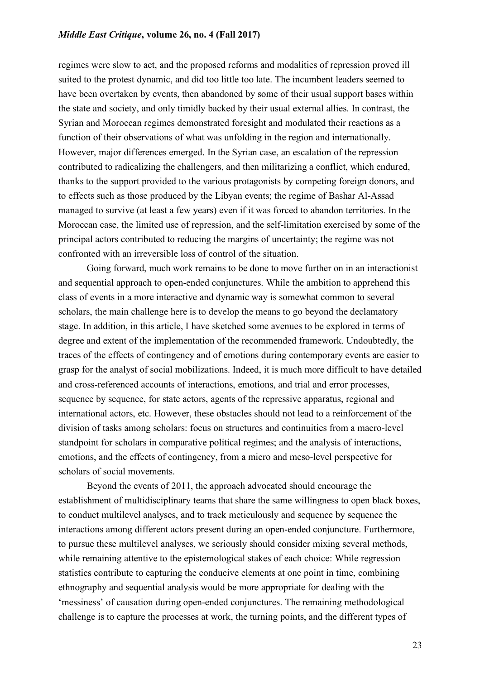regimes were slow to act, and the proposed reforms and modalities of repression proved ill suited to the protest dynamic, and did too little too late. The incumbent leaders seemed to have been overtaken by events, then abandoned by some of their usual support bases within the state and society, and only timidly backed by their usual external allies. In contrast, the Syrian and Moroccan regimes demonstrated foresight and modulated their reactions as a function of their observations of what was unfolding in the region and internationally. However, major differences emerged. In the Syrian case, an escalation of the repression contributed to radicalizing the challengers, and then militarizing a conflict, which endured, thanks to the support provided to the various protagonists by competing foreign donors, and to effects such as those produced by the Libyan events; the regime of Bashar Al-Assad managed to survive (at least a few years) even if it was forced to abandon territories. In the Moroccan case, the limited use of repression, and the self-limitation exercised by some of the principal actors contributed to reducing the margins of uncertainty; the regime was not confronted with an irreversible loss of control of the situation.

Going forward, much work remains to be done to move further on in an interactionist and sequential approach to open-ended conjunctures. While the ambition to apprehend this class of events in a more interactive and dynamic way is somewhat common to several scholars, the main challenge here is to develop the means to go beyond the declamatory stage. In addition, in this article, I have sketched some avenues to be explored in terms of degree and extent of the implementation of the recommended framework. Undoubtedly, the traces of the effects of contingency and of emotions during contemporary events are easier to grasp for the analyst of social mobilizations. Indeed, it is much more difficult to have detailed and cross-referenced accounts of interactions, emotions, and trial and error processes, sequence by sequence, for state actors, agents of the repressive apparatus, regional and international actors, etc. However, these obstacles should not lead to a reinforcement of the division of tasks among scholars: focus on structures and continuities from a macro-level standpoint for scholars in comparative political regimes; and the analysis of interactions, emotions, and the effects of contingency, from a micro and meso-level perspective for scholars of social movements.

Beyond the events of 2011, the approach advocated should encourage the establishment of multidisciplinary teams that share the same willingness to open black boxes, to conduct multilevel analyses, and to track meticulously and sequence by sequence the interactions among different actors present during an open-ended conjuncture. Furthermore, to pursue these multilevel analyses, we seriously should consider mixing several methods, while remaining attentive to the epistemological stakes of each choice: While regression statistics contribute to capturing the conducive elements at one point in time, combining ethnography and sequential analysis would be more appropriate for dealing with the 'messiness' of causation during open-ended conjunctures. The remaining methodological challenge is to capture the processes at work, the turning points, and the different types of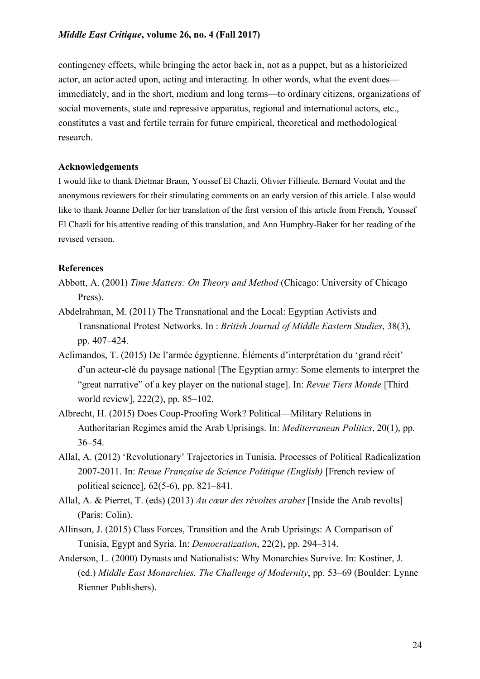contingency effects, while bringing the actor back in, not as a puppet, but as a historicized actor, an actor acted upon, acting and interacting. In other words, what the event does immediately, and in the short, medium and long terms—to ordinary citizens, organizations of social movements, state and repressive apparatus, regional and international actors, etc., constitutes a vast and fertile terrain for future empirical, theoretical and methodological research.

#### **Acknowledgements**

I would like to thank Dietmar Braun, Youssef El Chazli, Olivier Fillieule, Bernard Voutat and the anonymous reviewers for their stimulating comments on an early version of this article. I also would like to thank Joanne Deller for her translation of the first version of this article from French, Youssef El Chazli for his attentive reading of this translation, and Ann Humphry-Baker for her reading of the revised version.

### **References**

- Abbott, A. (2001) *Time Matters: On Theory and Method* (Chicago: University of Chicago Press).
- Abdelrahman, M. (2011) The Transnational and the Local: Egyptian Activists and Transnational Protest Networks. In : *British Journal of Middle Eastern Studies*, 38(3), pp. 407–424.
- Aclimandos, T. (2015) De l'armée égyptienne. Éléments d'interprétation du 'grand récit' d'un acteur-clé du paysage national [The Egyptian army: Some elements to interpret the "great narrative" of a key player on the national stage]. In: *Revue Tiers Monde* [Third world review], 222(2), pp. 85–102.
- Albrecht, H. (2015) Does Coup-Proofing Work? Political—Military Relations in Authoritarian Regimes amid the Arab Uprisings. In: *Mediterranean Politics*, 20(1), pp. 36–54.
- Allal, A. (2012) 'Revolutionary' Trajectories in Tunisia. Processes of Political Radicalization 2007-2011. In: *Revue Française de Science Politique (English)* [French review of political science], 62(5-6), pp. 821–841.
- Allal, A. & Pierret, T. (eds) (2013) *Au cœur des révoltes arabes* [Inside the Arab revolts] (Paris: Colin).
- Allinson, J. (2015) Class Forces, Transition and the Arab Uprisings: A Comparison of Tunisia, Egypt and Syria. In: *Democratization*, 22(2), pp. 294–314.
- Anderson, L. (2000) Dynasts and Nationalists: Why Monarchies Survive. In: Kostiner, J. (ed.) *Middle East Monarchies. The Challenge of Modernity*, pp. 53–69 (Boulder: Lynne Rienner Publishers).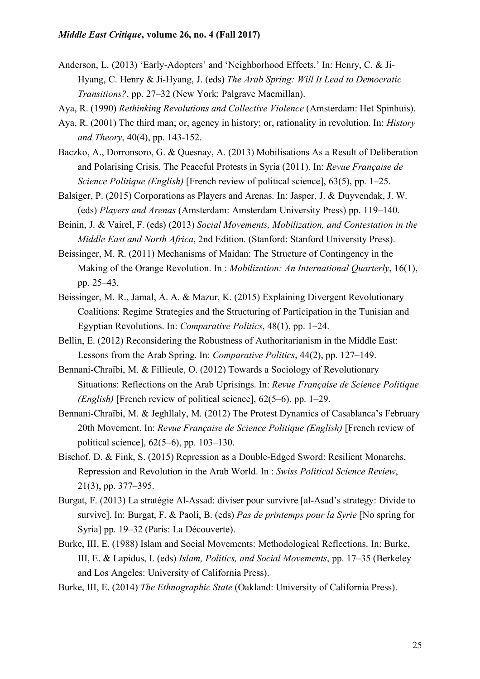- Anderson, L. (2013) 'Early-Adopters' and 'Neighborhood Effects.' In: Henry, C. & Ji-Hyang, C. Henry & Ji-Hyang, J. (eds) *The Arab Spring: Will It Lead to Democratic Transitions?*, pp. 27–32 (New York: Palgrave Macmillan).
- Aya, R. (1990) *Rethinking Revolutions and Collective Violence* (Amsterdam: Het Spinhuis).
- Aya, R. (2001) The third man; or, agency in history; or, rationality in revolution. In: *History and Theory*, 40(4), pp. 143-152.
- Baczko, A., Dorronsoro, G. & Quesnay, A. (2013) Mobilisations As a Result of Deliberation and Polarising Crisis. The Peaceful Protests in Syria (2011). In: *Revue Française de Science Politique (English)* [French review of political science], 63(5), pp. 1–25.
- Balsiger, P. (2015) Corporations as Players and Arenas. In: Jasper, J. & Duyvendak, J. W. (eds) *Players and Arenas* (Amsterdam: Amsterdam University Press) pp. 119–140.
- Beinin, J. & Vairel, F. (eds) (2013) *Social Movements, Mobilization, and Contestation in the Middle East and North Africa*, 2nd Edition. (Stanford: Stanford University Press).
- Beissinger, M. R. (2011) Mechanisms of Maidan: The Structure of Contingency in the Making of the Orange Revolution. In : *Mobilization: An International Quarterly*, 16(1), pp. 25–43.
- Beissinger, M. R., Jamal, A. A. & Mazur, K. (2015) Explaining Divergent Revolutionary Coalitions: Regime Strategies and the Structuring of Participation in the Tunisian and Egyptian Revolutions. In: *Comparative Politics*, 48(1), pp. 1–24.
- Bellin, E. (2012) Reconsidering the Robustness of Authoritarianism in the Middle East: Lessons from the Arab Spring. In: *Comparative Politics*, 44(2), pp. 127–149.
- Bennani-Chraïbi, M. & Fillieule, O. (2012) Towards a Sociology of Revolutionary Situations: Reflections on the Arab Uprisings. In: *Revue Française de Science Politique (English)* [French review of political science], 62(5–6), pp. 1–29.
- Bennani-Chraïbi, M. & Jeghllaly, M. (2012) The Protest Dynamics of Casablanca's February 20th Movement. In: *Revue Française de Science Politique (English)* [French review of political science], 62(5–6), pp. 103–130.
- Bischof, D. & Fink, S. (2015) Repression as a Double-Edged Sword: Resilient Monarchs, Repression and Revolution in the Arab World. In : *Swiss Political Science Review*, 21(3), pp. 377–395.
- Burgat, F. (2013) La stratégie Al-Assad: diviser pour survivre [al-Asad's strategy: Divide to survive]. In: Burgat, F. & Paoli, B. (eds) *Pas de printemps pour la Syrie* [No spring for Syria] pp. 19–32 (Paris: La Découverte).
- Burke, III, E. (1988) Islam and Social Movements: Methodological Reflections. In: Burke, III, E. & Lapidus, I. (eds) *Islam, Politics, and Social Movements*, pp. 17–35 (Berkeley and Los Angeles: University of California Press).
- Burke, III, E. (2014) *The Ethnographic State* (Oakland: University of California Press).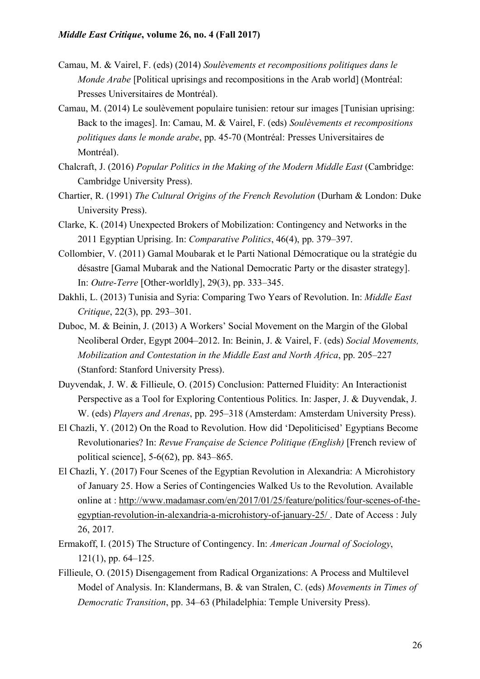- Camau, M. & Vairel, F. (eds) (2014) *Soulèvements et recompositions politiques dans le Monde Arabe* [Political uprisings and recompositions in the Arab world] (Montréal: Presses Universitaires de Montréal).
- Camau, M. (2014) Le soulèvement populaire tunisien: retour sur images [Tunisian uprising: Back to the images]. In: Camau, M. & Vairel, F. (eds) *Soulèvements et recompositions politiques dans le monde arabe*, pp. 45-70 (Montréal: Presses Universitaires de Montréal).
- Chalcraft, J. (2016) *Popular Politics in the Making of the Modern Middle East* (Cambridge: Cambridge University Press).
- Chartier, R. (1991) *The Cultural Origins of the French Revolution* (Durham & London: Duke University Press).
- Clarke, K. (2014) Unexpected Brokers of Mobilization: Contingency and Networks in the 2011 Egyptian Uprising. In: *Comparative Politics*, 46(4), pp. 379–397.
- Collombier, V. (2011) Gamal Moubarak et le Parti National Démocratique ou la stratégie du désastre [Gamal Mubarak and the National Democratic Party or the disaster strategy]. In: *Outre-Terre* [Other-worldly], 29(3), pp. 333–345.
- Dakhli, L. (2013) Tunisia and Syria: Comparing Two Years of Revolution. In: *Middle East Critique*, 22(3), pp. 293–301.
- Duboc, M. & Beinin, J. (2013) A Workers' Social Movement on the Margin of the Global Neoliberal Order, Egypt 2004–2012. In: Beinin, J. & Vairel, F. (eds) *Social Movements, Mobilization and Contestation in the Middle East and North Africa*, pp. 205–227 (Stanford: Stanford University Press).
- Duyvendak, J. W. & Fillieule, O. (2015) Conclusion: Patterned Fluidity: An Interactionist Perspective as a Tool for Exploring Contentious Politics. In: Jasper, J. & Duyvendak, J. W. (eds) *Players and Arenas*, pp. 295–318 (Amsterdam: Amsterdam University Press).
- El Chazli, Y. (2012) On the Road to Revolution. How did 'Depoliticised' Egyptians Become Revolutionaries? In: *Revue Française de Science Politique (English)* [French review of political science], 5-6(62), pp. 843–865.
- El Chazli, Y. (2017) Four Scenes of the Egyptian Revolution in Alexandria: A Microhistory of January 25. How a Series of Contingencies Walked Us to the Revolution. Available online at : http://www.madamasr.com/en/2017/01/25/feature/politics/four-scenes-of-theegyptian-revolution-in-alexandria-a-microhistory-of-january-25/ . Date of Access : July 26, 2017.
- Ermakoff, I. (2015) The Structure of Contingency. In: *American Journal of Sociology*, 121(1), pp. 64–125.
- Fillieule, O. (2015) Disengagement from Radical Organizations: A Process and Multilevel Model of Analysis. In: Klandermans, B. & van Stralen, C. (eds) *Movements in Times of Democratic Transition*, pp. 34–63 (Philadelphia: Temple University Press).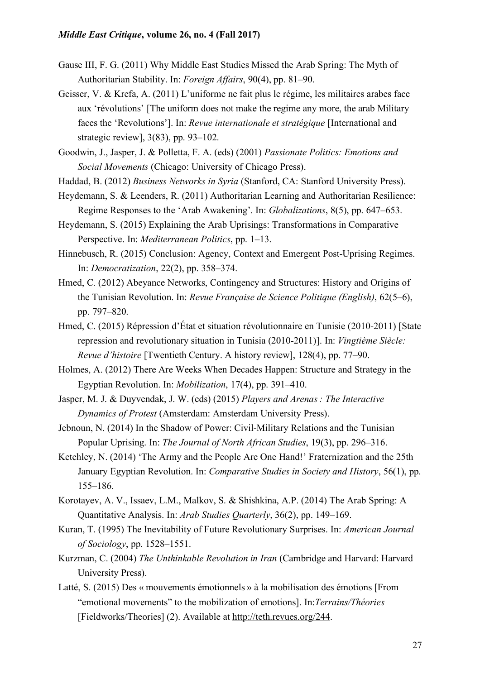- Gause III, F. G. (2011) Why Middle East Studies Missed the Arab Spring: The Myth of Authoritarian Stability. In: *Foreign Affairs*, 90(4), pp. 81–90.
- Geisser, V. & Krefa, A. (2011) L'uniforme ne fait plus le régime, les militaires arabes face aux 'révolutions' [The uniform does not make the regime any more, the arab Military faces the 'Revolutions']. In: *Revue internationale et stratégique* [International and strategic review], 3(83), pp. 93–102.
- Goodwin, J., Jasper, J. & Polletta, F. A. (eds) (2001) *Passionate Politics: Emotions and Social Movements* (Chicago: University of Chicago Press).
- Haddad, B. (2012) *Business Networks in Syria* (Stanford, CA: Stanford University Press).
- Heydemann, S. & Leenders, R. (2011) Authoritarian Learning and Authoritarian Resilience: Regime Responses to the 'Arab Awakening'. In: *Globalizations*, 8(5), pp. 647–653.
- Heydemann, S. (2015) Explaining the Arab Uprisings: Transformations in Comparative Perspective. In: *Mediterranean Politics*, pp. 1–13.
- Hinnebusch, R. (2015) Conclusion: Agency, Context and Emergent Post-Uprising Regimes. In: *Democratization*, 22(2), pp. 358–374.
- Hmed, C. (2012) Abeyance Networks, Contingency and Structures: History and Origins of the Tunisian Revolution. In: *Revue Française de Science Politique (English)*, 62(5–6), pp. 797–820.
- Hmed, C. (2015) Répression d'État et situation révolutionnaire en Tunisie (2010-2011) [State repression and revolutionary situation in Tunisia (2010-2011)]. In: *Vingtième Siècle: Revue d'histoire* [Twentieth Century. A history review], 128(4), pp. 77–90.
- Holmes, A. (2012) There Are Weeks When Decades Happen: Structure and Strategy in the Egyptian Revolution. In: *Mobilization*, 17(4), pp. 391–410.
- Jasper, M. J. & Duyvendak, J. W. (eds) (2015) *Players and Arenas: The Interactive Dynamics of Protest* (Amsterdam: Amsterdam University Press).
- Jebnoun, N. (2014) In the Shadow of Power: Civil-Military Relations and the Tunisian Popular Uprising. In: *The Journal of North African Studies*, 19(3), pp. 296–316.
- Ketchley, N. (2014) 'The Army and the People Are One Hand!' Fraternization and the 25th January Egyptian Revolution. In: *Comparative Studies in Society and History*, 56(1), pp. 155–186.
- Korotayev, A. V., Issaev, L.M., Malkov, S. & Shishkina, A.P. (2014) The Arab Spring: A Quantitative Analysis. In: *Arab Studies Quarterly*, 36(2), pp. 149–169.
- Kuran, T. (1995) The Inevitability of Future Revolutionary Surprises. In: *American Journal of Sociology*, pp. 1528–1551.
- Kurzman, C. (2004) *The Unthinkable Revolution in Iran* (Cambridge and Harvard: Harvard University Press).
- Latté, S. (2015) Des « mouvements émotionnels » à la mobilisation des émotions [From "emotional movements" to the mobilization of emotions]. In:*Terrains/Théories* [Fieldworks/Theories] (2). Available at http://teth.revues.org/244.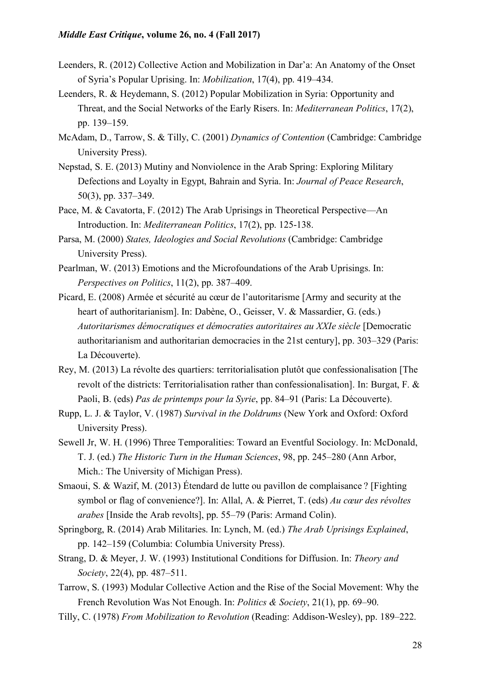- Leenders, R. (2012) Collective Action and Mobilization in Dar'a: An Anatomy of the Onset of Syria's Popular Uprising. In: *Mobilization*, 17(4), pp. 419–434.
- Leenders, R. & Heydemann, S. (2012) Popular Mobilization in Syria: Opportunity and Threat, and the Social Networks of the Early Risers. In: *Mediterranean Politics*, 17(2), pp. 139–159.
- McAdam, D., Tarrow, S. & Tilly, C. (2001) *Dynamics of Contention* (Cambridge: Cambridge University Press).
- Nepstad, S. E. (2013) Mutiny and Nonviolence in the Arab Spring: Exploring Military Defections and Loyalty in Egypt, Bahrain and Syria. In: *Journal of Peace Research*, 50(3), pp. 337–349.
- Pace, M. & Cavatorta, F. (2012) The Arab Uprisings in Theoretical Perspective—An Introduction. In: *Mediterranean Politics*, 17(2), pp. 125-138.
- Parsa, M. (2000) *States, Ideologies and Social Revolutions* (Cambridge: Cambridge University Press).
- Pearlman, W. (2013) Emotions and the Microfoundations of the Arab Uprisings. In: *Perspectives on Politics*, 11(2), pp. 387–409.
- Picard, E. (2008) Armée et sécurité au cœur de l'autoritarisme [Army and security at the heart of authoritarianism]. In: Dabène, O., Geisser, V. & Massardier, G. (eds.) *Autoritarismes démocratiques et démocraties autoritaires au XXIe siècle* [Democratic authoritarianism and authoritarian democracies in the 21st century], pp. 303–329 (Paris: La Découverte).
- Rey, M. (2013) La révolte des quartiers: territorialisation plutôt que confessionalisation [The revolt of the districts: Territorialisation rather than confessionalisation]. In: Burgat, F. & Paoli, B. (eds) *Pas de printemps pour la Syrie*, pp. 84–91 (Paris: La Découverte).
- Rupp, L. J. & Taylor, V. (1987) *Survival in the Doldrums* (New York and Oxford: Oxford University Press).
- Sewell Jr, W. H. (1996) Three Temporalities: Toward an Eventful Sociology. In: McDonald, T. J. (ed.) *The Historic Turn in the Human Sciences*, 98, pp. 245–280 (Ann Arbor, Mich.: The University of Michigan Press).
- Smaoui, S. & Wazif, M. (2013) Étendard de lutte ou pavillon de complaisance ? [Fighting symbol or flag of convenience?]. In: Allal, A. & Pierret, T. (eds) *Au cœur des révoltes arabes* [Inside the Arab revolts], pp. 55–79 (Paris: Armand Colin).
- Springborg, R. (2014) Arab Militaries. In: Lynch, M. (ed.) *The Arab Uprisings Explained*, pp. 142–159 (Columbia: Columbia University Press).
- Strang, D. & Meyer, J. W. (1993) Institutional Conditions for Diffusion. In: *Theory and Society*, 22(4), pp. 487–511.
- Tarrow, S. (1993) Modular Collective Action and the Rise of the Social Movement: Why the French Revolution Was Not Enough. In: *Politics & Society*, 21(1), pp. 69–90.
- Tilly, C. (1978) *From Mobilization to Revolution* (Reading: Addison-Wesley), pp. 189–222.